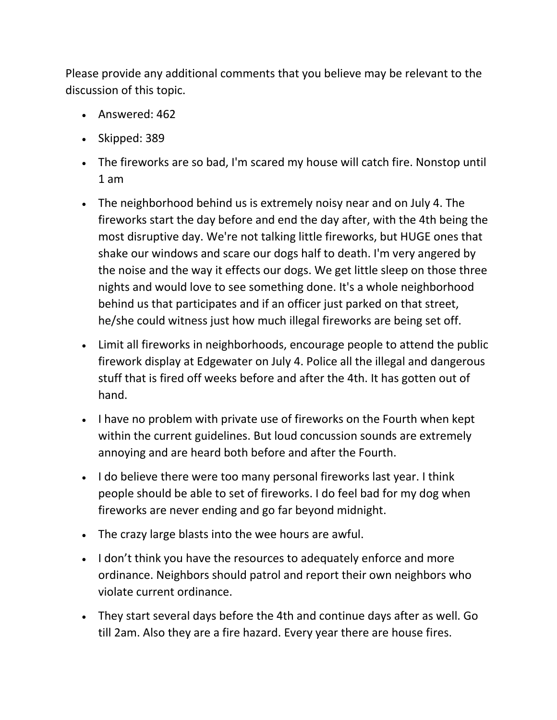Please provide any additional comments that you believe may be relevant to the discussion of this topic.

- Answered: 462
- Skipped:  $389$
- The fireworks are so bad, I'm scared my house will catch fire. Nonstop until 1 am
- The neighborhood behind us is extremely noisy near and on July 4. The fireworks start the day before and end the day after, with the 4th being the most disruptive day. We're not talking little fireworks, but HUGE ones that shake our windows and scare our dogs half to death. I'm very angered by the noise and the way it effects our dogs. We get little sleep on those three nights and would love to see something done. It's a whole neighborhood behind us that participates and if an officer just parked on that street, he/she could witness just how much illegal fireworks are being set off.
- Limit all fireworks in neighborhoods, encourage people to attend the public firework display at Edgewater on July 4. Police all the illegal and dangerous stuff that is fired off weeks before and after the 4th. It has gotten out of hand.
- I have no problem with private use of fireworks on the Fourth when kept within the current guidelines. But loud concussion sounds are extremely annoying and are heard both before and after the Fourth.
- I do believe there were too many personal fireworks last year. I think people should be able to set of fireworks. I do feel bad for my dog when fireworks are never ending and go far beyond midnight.
- The crazy large blasts into the wee hours are awful.
- I don't think you have the resources to adequately enforce and more ordinance. Neighbors should patrol and report their own neighbors who violate current ordinance.
- They start several days before the 4th and continue days after as well. Go till 2am. Also they are a fire hazard. Every year there are house fires.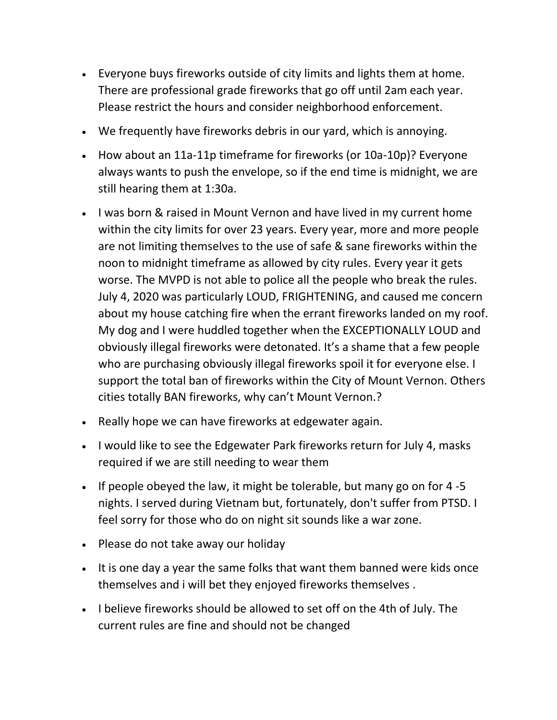- Everyone buys fireworks outside of city limits and lights them at home. There are professional grade fireworks that go off until 2am each year. Please restrict the hours and consider neighborhood enforcement.
- We frequently have fireworks debris in our yard, which is annoying.
- How about an 11a-11p timeframe for fireworks (or 10a-10p)? Everyone always wants to push the envelope, so if the end time is midnight, we are still hearing them at 1:30a.
- I was born & raised in Mount Vernon and have lived in my current home within the city limits for over 23 years. Every year, more and more people are not limiting themselves to the use of safe & sane fireworks within the noon to midnight timeframe as allowed by city rules. Every year it gets worse. The MVPD is not able to police all the people who break the rules. July 4, 2020 was particularly LOUD, FRIGHTENING, and caused me concern about my house catching fire when the errant fireworks landed on my roof. My dog and I were huddled together when the EXCEPTIONALLY LOUD and obviously illegal fireworks were detonated. It's a shame that a few people who are purchasing obviously illegal fireworks spoil it for everyone else. I support the total ban of fireworks within the City of Mount Vernon. Others cities totally BAN fireworks, why can't Mount Vernon.?
- Really hope we can have fireworks at edgewater again.
- I would like to see the Edgewater Park fireworks return for July 4, masks required if we are still needing to wear them
- If people obeyed the law, it might be tolerable, but many go on for  $4-5$ nights. I served during Vietnam but, fortunately, don't suffer from PTSD. I feel sorry for those who do on night sit sounds like a war zone.
- Please do not take away our holiday
- It is one day a year the same folks that want them banned were kids once themselves and i will bet they enjoyed fireworks themselves .
- I believe fireworks should be allowed to set off on the 4th of July. The current rules are fine and should not be changed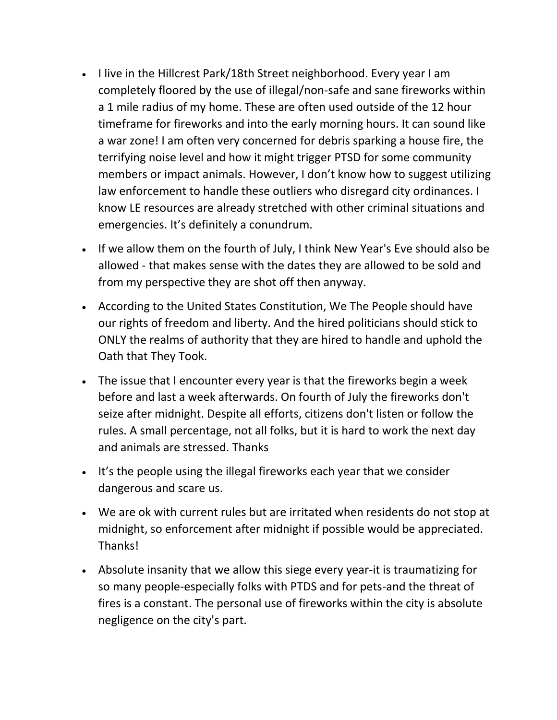- I live in the Hillcrest Park/18th Street neighborhood. Every year I am completely floored by the use of illegal/non-safe and sane fireworks within a 1 mile radius of my home. These are often used outside of the 12 hour timeframe for fireworks and into the early morning hours. It can sound like a war zone! I am often very concerned for debris sparking a house fire, the terrifying noise level and how it might trigger PTSD for some community members or impact animals. However, I don't know how to suggest utilizing law enforcement to handle these outliers who disregard city ordinances. I know LE resources are already stretched with other criminal situations and emergencies. It's definitely a conundrum.
- If we allow them on the fourth of July, I think New Year's Eve should also be allowed - that makes sense with the dates they are allowed to be sold and from my perspective they are shot off then anyway.
- According to the United States Constitution, We The People should have our rights of freedom and liberty. And the hired politicians should stick to ONLY the realms of authority that they are hired to handle and uphold the Oath that They Took.
- The issue that I encounter every year is that the fireworks begin a week before and last a week afterwards. On fourth of July the fireworks don't seize after midnight. Despite all efforts, citizens don't listen or follow the rules. A small percentage, not all folks, but it is hard to work the next day and animals are stressed. Thanks
- It's the people using the illegal fireworks each year that we consider dangerous and scare us.
- We are ok with current rules but are irritated when residents do not stop at midnight, so enforcement after midnight if possible would be appreciated. Thanks!
- Absolute insanity that we allow this siege every year-it is traumatizing for so many people-especially folks with PTDS and for pets-and the threat of fires is a constant. The personal use of fireworks within the city is absolute negligence on the city's part.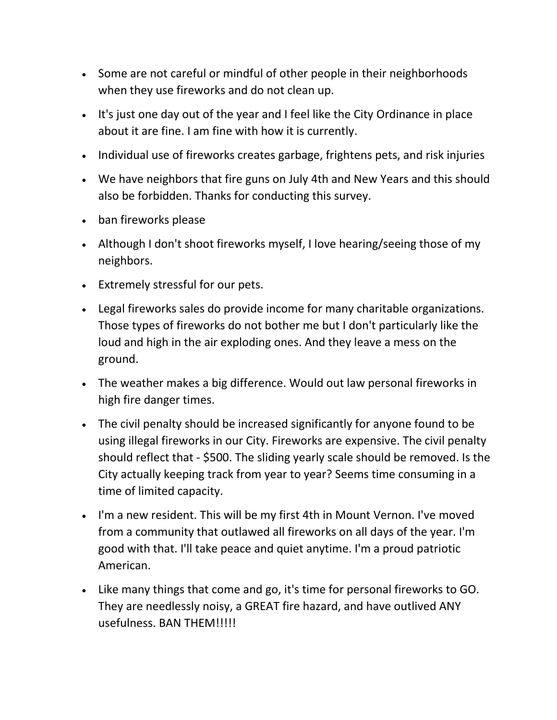- Some are not careful or mindful of other people in their neighborhoods when they use fireworks and do not clean up.
- It's just one day out of the year and I feel like the City Ordinance in place about it are fine. I am fine with how it is currently.
- Individual use of fireworks creates garbage, frightens pets, and risk injuries
- We have neighbors that fire guns on July 4th and New Years and this should also be forbidden. Thanks for conducting this survey.
- ban fireworks please
- Although I don't shoot fireworks myself, I love hearing/seeing those of my neighbors.
- Extremely stressful for our pets.
- Legal fireworks sales do provide income for many charitable organizations. Those types of fireworks do not bother me but I don't particularly like the loud and high in the air exploding ones. And they leave a mess on the ground.
- The weather makes a big difference. Would out law personal fireworks in high fire danger times.
- The civil penalty should be increased significantly for anyone found to be using illegal fireworks in our City. Fireworks are expensive. The civil penalty should reflect that - \$500. The sliding yearly scale should be removed. Is the City actually keeping track from year to year? Seems time consuming in a time of limited capacity.
- I'm a new resident. This will be my first 4th in Mount Vernon. I've moved from a community that outlawed all fireworks on all days of the year. I'm good with that. I'll take peace and quiet anytime. I'm a proud patriotic American.
- Like many things that come and go, it's time for personal fireworks to GO. They are needlessly noisy, a GREAT fire hazard, and have outlived ANY usefulness. BAN THEM!!!!!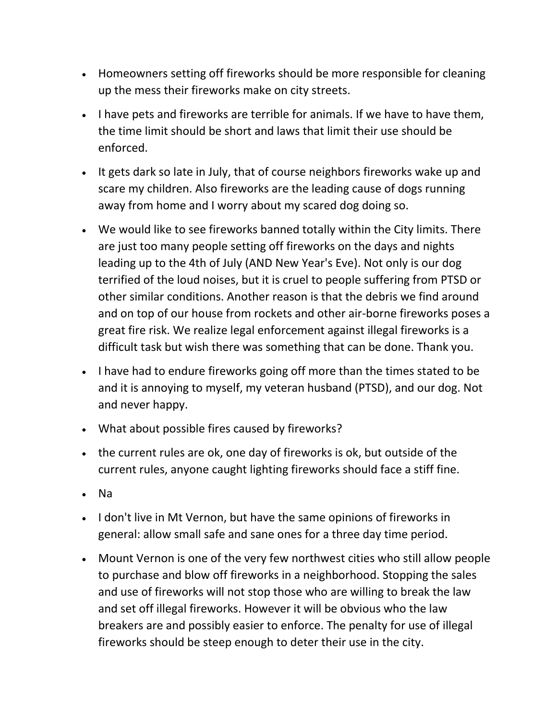- Homeowners setting off fireworks should be more responsible for cleaning up the mess their fireworks make on city streets.
- I have pets and fireworks are terrible for animals. If we have to have them, the time limit should be short and laws that limit their use should be enforced.
- It gets dark so late in July, that of course neighbors fireworks wake up and scare my children. Also fireworks are the leading cause of dogs running away from home and I worry about my scared dog doing so.
- We would like to see fireworks banned totally within the City limits. There are just too many people setting off fireworks on the days and nights leading up to the 4th of July (AND New Year's Eve). Not only is our dog terrified of the loud noises, but it is cruel to people suffering from PTSD or other similar conditions. Another reason is that the debris we find around and on top of our house from rockets and other air-borne fireworks poses a great fire risk. We realize legal enforcement against illegal fireworks is a difficult task but wish there was something that can be done. Thank you.
- I have had to endure fireworks going off more than the times stated to be and it is annoying to myself, my veteran husband (PTSD), and our dog. Not and never happy.
- What about possible fires caused by fireworks?
- the current rules are ok, one day of fireworks is ok, but outside of the current rules, anyone caught lighting fireworks should face a stiff fine.
- Na
- I don't live in Mt Vernon, but have the same opinions of fireworks in general: allow small safe and sane ones for a three day time period.
- Mount Vernon is one of the very few northwest cities who still allow people to purchase and blow off fireworks in a neighborhood. Stopping the sales and use of fireworks will not stop those who are willing to break the law and set off illegal fireworks. However it will be obvious who the law breakers are and possibly easier to enforce. The penalty for use of illegal fireworks should be steep enough to deter their use in the city.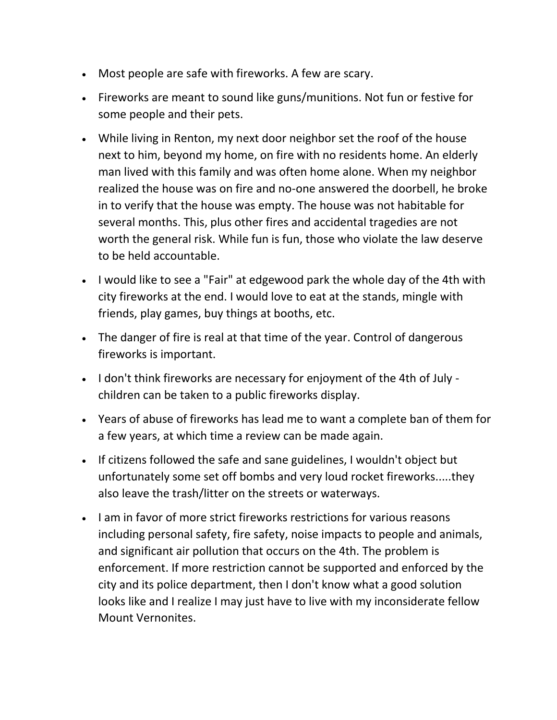- Most people are safe with fireworks. A few are scary.
- Fireworks are meant to sound like guns/munitions. Not fun or festive for some people and their pets.
- While living in Renton, my next door neighbor set the roof of the house next to him, beyond my home, on fire with no residents home. An elderly man lived with this family and was often home alone. When my neighbor realized the house was on fire and no-one answered the doorbell, he broke in to verify that the house was empty. The house was not habitable for several months. This, plus other fires and accidental tragedies are not worth the general risk. While fun is fun, those who violate the law deserve to be held accountable.
- I would like to see a "Fair" at edgewood park the whole day of the 4th with city fireworks at the end. I would love to eat at the stands, mingle with friends, play games, buy things at booths, etc.
- The danger of fire is real at that time of the year. Control of dangerous fireworks is important.
- I don't think fireworks are necessary for enjoyment of the 4th of July children can be taken to a public fireworks display.
- Years of abuse of fireworks has lead me to want a complete ban of them for a few years, at which time a review can be made again.
- If citizens followed the safe and sane guidelines, I wouldn't object but unfortunately some set off bombs and very loud rocket fireworks.....they also leave the trash/litter on the streets or waterways.
- I am in favor of more strict fireworks restrictions for various reasons including personal safety, fire safety, noise impacts to people and animals, and significant air pollution that occurs on the 4th. The problem is enforcement. If more restriction cannot be supported and enforced by the city and its police department, then I don't know what a good solution looks like and I realize I may just have to live with my inconsiderate fellow Mount Vernonites.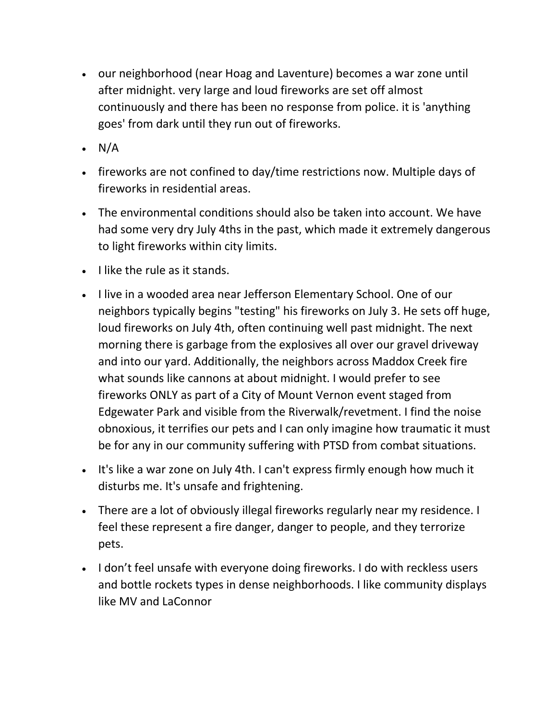- our neighborhood (near Hoag and Laventure) becomes a war zone until after midnight. very large and loud fireworks are set off almost continuously and there has been no response from police. it is 'anything goes' from dark until they run out of fireworks.
- $\cdot$  N/A
- fireworks are not confined to day/time restrictions now. Multiple days of fireworks in residential areas.
- The environmental conditions should also be taken into account. We have had some very dry July 4ths in the past, which made it extremely dangerous to light fireworks within city limits.
- $\bullet$  I like the rule as it stands.
- I live in a wooded area near Jefferson Elementary School. One of our neighbors typically begins "testing" his fireworks on July 3. He sets off huge, loud fireworks on July 4th, often continuing well past midnight. The next morning there is garbage from the explosives all over our gravel driveway and into our yard. Additionally, the neighbors across Maddox Creek fire what sounds like cannons at about midnight. I would prefer to see fireworks ONLY as part of a City of Mount Vernon event staged from Edgewater Park and visible from the Riverwalk/revetment. I find the noise obnoxious, it terrifies our pets and I can only imagine how traumatic it must be for any in our community suffering with PTSD from combat situations.
- It's like a war zone on July 4th. I can't express firmly enough how much it disturbs me. It's unsafe and frightening.
- There are a lot of obviously illegal fireworks regularly near my residence. I feel these represent a fire danger, danger to people, and they terrorize pets.
- I don't feel unsafe with everyone doing fireworks. I do with reckless users and bottle rockets types in dense neighborhoods. I like community displays like MV and LaConnor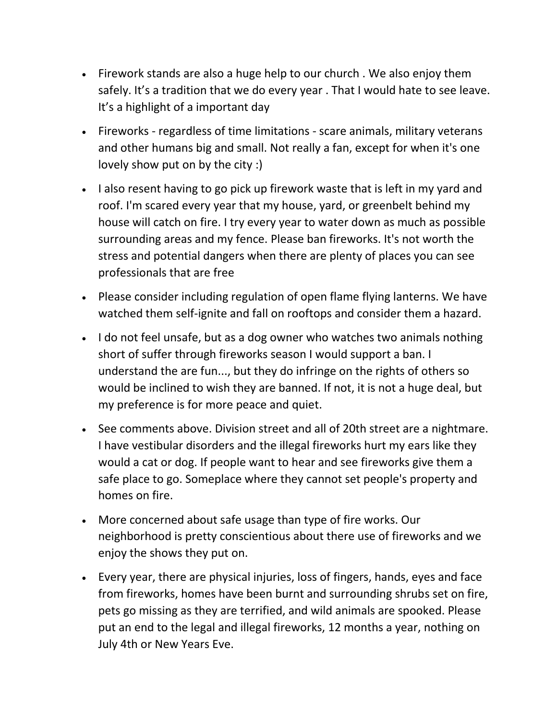- Firework stands are also a huge help to our church . We also enjoy them safely. It's a tradition that we do every year. That I would hate to see leave. It's a highlight of a important day
- Fireworks regardless of time limitations scare animals, military veterans and other humans big and small. Not really a fan, except for when it's one lovely show put on by the city :)
- I also resent having to go pick up firework waste that is left in my yard and roof. I'm scared every year that my house, yard, or greenbelt behind my house will catch on fire. I try every year to water down as much as possible surrounding areas and my fence. Please ban fireworks. It's not worth the stress and potential dangers when there are plenty of places you can see professionals that are free
- Please consider including regulation of open flame flying lanterns. We have watched them self-ignite and fall on rooftops and consider them a hazard.
- I do not feel unsafe, but as a dog owner who watches two animals nothing short of suffer through fireworks season I would support a ban. I understand the are fun..., but they do infringe on the rights of others so would be inclined to wish they are banned. If not, it is not a huge deal, but my preference is for more peace and quiet.
- See comments above. Division street and all of 20th street are a nightmare. I have vestibular disorders and the illegal fireworks hurt my ears like they would a cat or dog. If people want to hear and see fireworks give them a safe place to go. Someplace where they cannot set people's property and homes on fire.
- More concerned about safe usage than type of fire works. Our neighborhood is pretty conscientious about there use of fireworks and we enjoy the shows they put on.
- Every year, there are physical injuries, loss of fingers, hands, eyes and face from fireworks, homes have been burnt and surrounding shrubs set on fire, pets go missing as they are terrified, and wild animals are spooked. Please put an end to the legal and illegal fireworks, 12 months a year, nothing on July 4th or New Years Eve.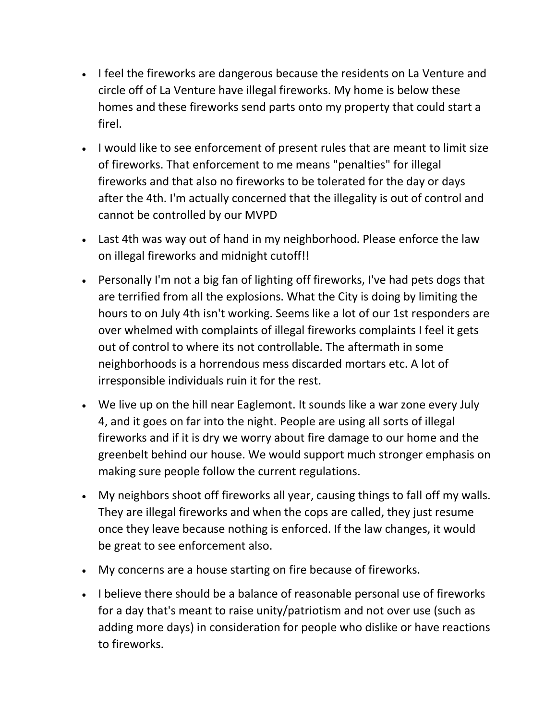- I feel the fireworks are dangerous because the residents on La Venture and circle off of La Venture have illegal fireworks. My home is below these homes and these fireworks send parts onto my property that could start a firel.
- I would like to see enforcement of present rules that are meant to limit size of fireworks. That enforcement to me means "penalties" for illegal fireworks and that also no fireworks to be tolerated for the day or days after the 4th. I'm actually concerned that the illegality is out of control and cannot be controlled by our MVPD
- Last 4th was way out of hand in my neighborhood. Please enforce the law on illegal fireworks and midnight cutoff!!
- Personally I'm not a big fan of lighting off fireworks, I've had pets dogs that are terrified from all the explosions. What the City is doing by limiting the hours to on July 4th isn't working. Seems like a lot of our 1st responders are over whelmed with complaints of illegal fireworks complaints I feel it gets out of control to where its not controllable. The aftermath in some neighborhoods is a horrendous mess discarded mortars etc. A lot of irresponsible individuals ruin it for the rest.
- We live up on the hill near Eaglemont. It sounds like a war zone every July 4, and it goes on far into the night. People are using all sorts of illegal fireworks and if it is dry we worry about fire damage to our home and the greenbelt behind our house. We would support much stronger emphasis on making sure people follow the current regulations.
- My neighbors shoot off fireworks all year, causing things to fall off my walls. They are illegal fireworks and when the cops are called, they just resume once they leave because nothing is enforced. If the law changes, it would be great to see enforcement also.
- My concerns are a house starting on fire because of fireworks.
- I believe there should be a balance of reasonable personal use of fireworks for a day that's meant to raise unity/patriotism and not over use (such as adding more days) in consideration for people who dislike or have reactions to fireworks.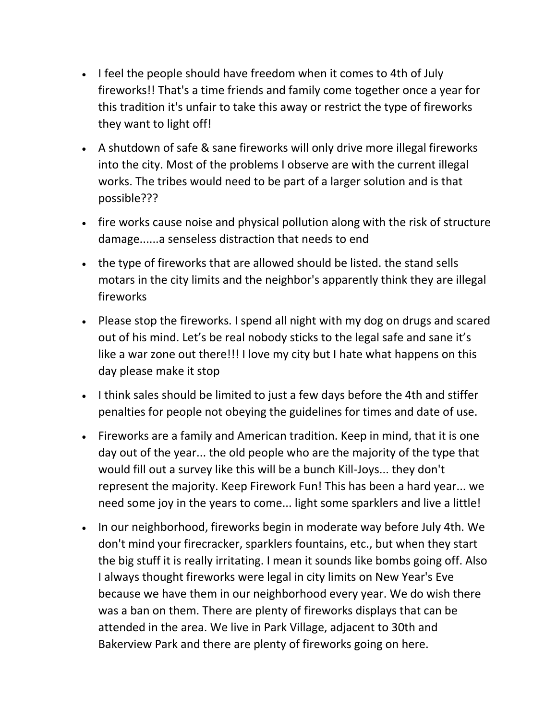- I feel the people should have freedom when it comes to 4th of July fireworks!! That's a time friends and family come together once a year for this tradition it's unfair to take this away or restrict the type of fireworks they want to light off!
- A shutdown of safe & sane fireworks will only drive more illegal fireworks into the city. Most of the problems I observe are with the current illegal works. The tribes would need to be part of a larger solution and is that possible???
- fire works cause noise and physical pollution along with the risk of structure damage......a senseless distraction that needs to end
- the type of fireworks that are allowed should be listed. the stand sells motars in the city limits and the neighbor's apparently think they are illegal fireworks
- Please stop the fireworks. I spend all night with my dog on drugs and scared out of his mind. Let's be real nobody sticks to the legal safe and sane it's like a war zone out there!!! I love my city but I hate what happens on this day please make it stop
- I think sales should be limited to just a few days before the 4th and stiffer penalties for people not obeying the guidelines for times and date of use.
- Fireworks are a family and American tradition. Keep in mind, that it is one day out of the year... the old people who are the majority of the type that would fill out a survey like this will be a bunch Kill-Joys... they don't represent the majority. Keep Firework Fun! This has been a hard year... we need some joy in the years to come... light some sparklers and live a little!
- In our neighborhood, fireworks begin in moderate way before July 4th. We don't mind your firecracker, sparklers fountains, etc., but when they start the big stuff it is really irritating. I mean it sounds like bombs going off. Also I always thought fireworks were legal in city limits on New Year's Eve because we have them in our neighborhood every year. We do wish there was a ban on them. There are plenty of fireworks displays that can be attended in the area. We live in Park Village, adjacent to 30th and Bakerview Park and there are plenty of fireworks going on here.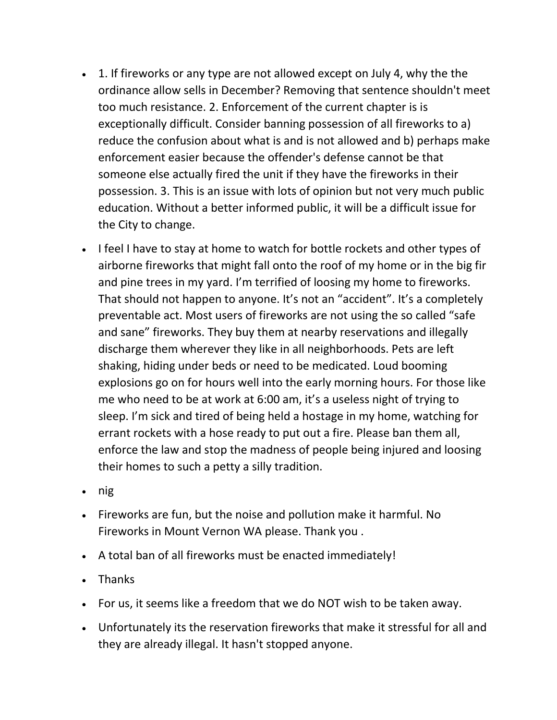- 1. If fireworks or any type are not allowed except on July 4, why the the ordinance allow sells in December? Removing that sentence shouldn't meet too much resistance. 2. Enforcement of the current chapter is is exceptionally difficult. Consider banning possession of all fireworks to a) reduce the confusion about what is and is not allowed and b) perhaps make enforcement easier because the offender's defense cannot be that someone else actually fired the unit if they have the fireworks in their possession. 3. This is an issue with lots of opinion but not very much public education. Without a better informed public, it will be a difficult issue for the City to change.
- I feel I have to stay at home to watch for bottle rockets and other types of airborne fireworks that might fall onto the roof of my home or in the big fir and pine trees in my yard. I'm terrified of loosing my home to fireworks. That should not happen to anyone. It's not an "accident". It's a completely preventable act. Most users of fireworks are not using the so called "safe and sane" fireworks. They buy them at nearby reservations and illegally discharge them wherever they like in all neighborhoods. Pets are left shaking, hiding under beds or need to be medicated. Loud booming explosions go on for hours well into the early morning hours. For those like me who need to be at work at 6:00 am, it's a useless night of trying to sleep. I'm sick and tired of being held a hostage in my home, watching for errant rockets with a hose ready to put out a fire. Please ban them all, enforce the law and stop the madness of people being injured and loosing their homes to such a petty a silly tradition.
- $\cdot$  nig
- Fireworks are fun, but the noise and pollution make it harmful. No Fireworks in Mount Vernon WA please. Thank you .
- A total ban of all fireworks must be enacted immediately!
- Thanks
- For us, it seems like a freedom that we do NOT wish to be taken away.
- Unfortunately its the reservation fireworks that make it stressful for all and they are already illegal. It hasn't stopped anyone.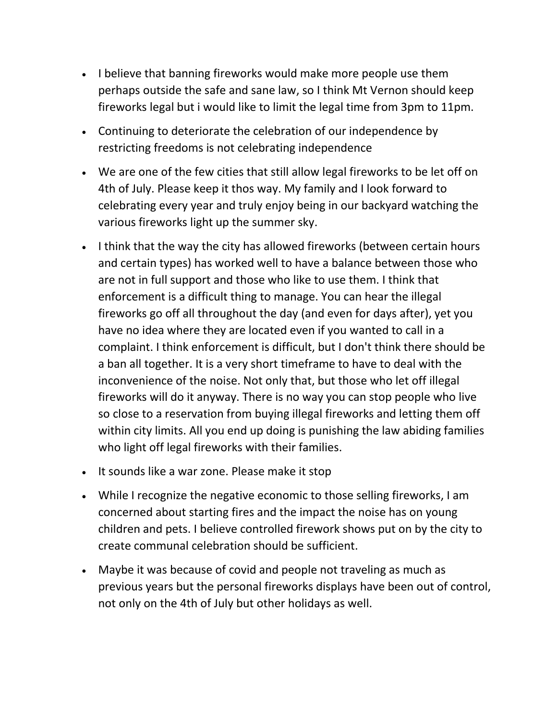- I believe that banning fireworks would make more people use them perhaps outside the safe and sane law, so I think Mt Vernon should keep fireworks legal but i would like to limit the legal time from 3pm to 11pm.
- Continuing to deteriorate the celebration of our independence by restricting freedoms is not celebrating independence
- We are one of the few cities that still allow legal fireworks to be let off on 4th of July. Please keep it thos way. My family and I look forward to celebrating every year and truly enjoy being in our backyard watching the various fireworks light up the summer sky.
- I think that the way the city has allowed fireworks (between certain hours and certain types) has worked well to have a balance between those who are not in full support and those who like to use them. I think that enforcement is a difficult thing to manage. You can hear the illegal fireworks go off all throughout the day (and even for days after), yet you have no idea where they are located even if you wanted to call in a complaint. I think enforcement is difficult, but I don't think there should be a ban all together. It is a very short timeframe to have to deal with the inconvenience of the noise. Not only that, but those who let off illegal fireworks will do it anyway. There is no way you can stop people who live so close to a reservation from buying illegal fireworks and letting them off within city limits. All you end up doing is punishing the law abiding families who light off legal fireworks with their families.
- It sounds like a war zone. Please make it stop
- While I recognize the negative economic to those selling fireworks, I am concerned about starting fires and the impact the noise has on young children and pets. I believe controlled firework shows put on by the city to create communal celebration should be sufficient.
- Maybe it was because of covid and people not traveling as much as previous years but the personal fireworks displays have been out of control, not only on the 4th of July but other holidays as well.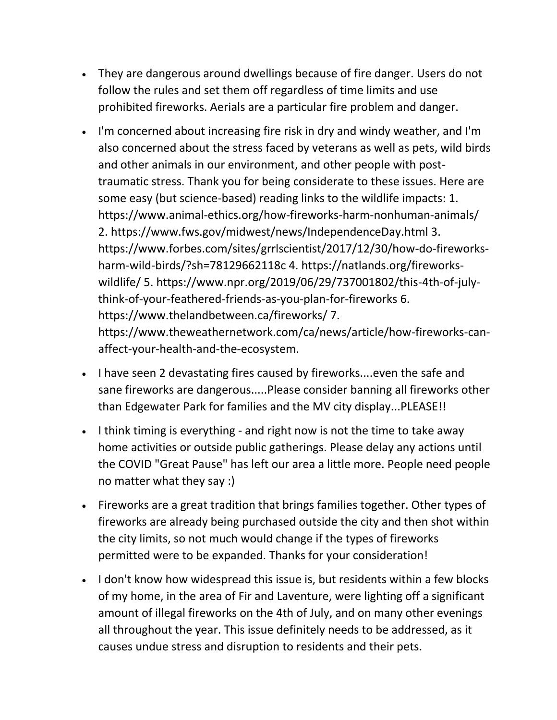- They are dangerous around dwellings because of fire danger. Users do not follow the rules and set them off regardless of time limits and use prohibited fireworks. Aerials are a particular fire problem and danger.
- I'm concerned about increasing fire risk in dry and windy weather, and I'm also concerned about the stress faced by veterans as well as pets, wild birds and other animals in our environment, and other people with posttraumatic stress. Thank you for being considerate to these issues. Here are some easy (but science-based) reading links to the wildlife impacts: 1. https://www.animal-ethics.org/how-fireworks-harm-nonhuman-animals/ 2. https://www.fws.gov/midwest/news/IndependenceDay.html 3. https://www.forbes.com/sites/grrlscientist/2017/12/30/how-do-fireworksharm-wild-birds/?sh=78129662118c 4. https://natlands.org/fireworkswildlife/ 5. https://www.npr.org/2019/06/29/737001802/this-4th-of-julythink-of-your-feathered-friends-as-you-plan-for-fireworks 6. https://www.thelandbetween.ca/fireworks/ 7. https://www.theweathernetwork.com/ca/news/article/how-fireworks-canaffect-your-health-and-the-ecosystem.
- I have seen 2 devastating fires caused by fireworks....even the safe and sane fireworks are dangerous.....Please consider banning all fireworks other than Edgewater Park for families and the MV city display...PLEASE!!
- I think timing is everything and right now is not the time to take away home activities or outside public gatherings. Please delay any actions until the COVID "Great Pause" has left our area a little more. People need people no matter what they say :)
- Fireworks are a great tradition that brings families together. Other types of fireworks are already being purchased outside the city and then shot within the city limits, so not much would change if the types of fireworks permitted were to be expanded. Thanks for your consideration!
- I don't know how widespread this issue is, but residents within a few blocks of my home, in the area of Fir and Laventure, were lighting off a significant amount of illegal fireworks on the 4th of July, and on many other evenings all throughout the year. This issue definitely needs to be addressed, as it causes undue stress and disruption to residents and their pets.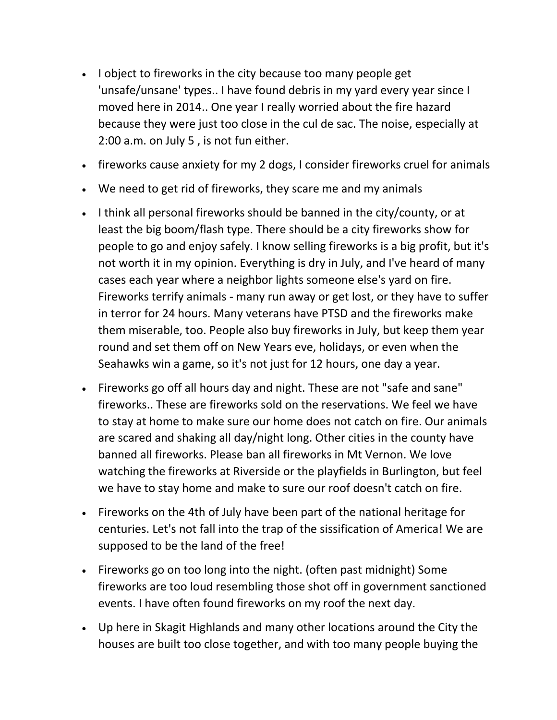- I object to fireworks in the city because too many people get 'unsafe/unsane' types.. I have found debris in my yard every year since I moved here in 2014.. One year I really worried about the fire hazard because they were just too close in the cul de sac. The noise, especially at 2:00 a.m. on July 5 , is not fun either.
- fireworks cause anxiety for my 2 dogs, I consider fireworks cruel for animals
- We need to get rid of fireworks, they scare me and my animals
- I think all personal fireworks should be banned in the city/county, or at least the big boom/flash type. There should be a city fireworks show for people to go and enjoy safely. I know selling fireworks is a big profit, but it's not worth it in my opinion. Everything is dry in July, and I've heard of many cases each year where a neighbor lights someone else's yard on fire. Fireworks terrify animals - many run away or get lost, or they have to suffer in terror for 24 hours. Many veterans have PTSD and the fireworks make them miserable, too. People also buy fireworks in July, but keep them year round and set them off on New Years eve, holidays, or even when the Seahawks win a game, so it's not just for 12 hours, one day a year.
- Fireworks go off all hours day and night. These are not "safe and sane" fireworks.. These are fireworks sold on the reservations. We feel we have to stay at home to make sure our home does not catch on fire. Our animals are scared and shaking all day/night long. Other cities in the county have banned all fireworks. Please ban all fireworks in Mt Vernon. We love watching the fireworks at Riverside or the playfields in Burlington, but feel we have to stay home and make to sure our roof doesn't catch on fire.
- Fireworks on the 4th of July have been part of the national heritage for centuries. Let's not fall into the trap of the sissification of America! We are supposed to be the land of the free!
- Fireworks go on too long into the night. (often past midnight) Some fireworks are too loud resembling those shot off in government sanctioned events. I have often found fireworks on my roof the next day.
- Up here in Skagit Highlands and many other locations around the City the houses are built too close together, and with too many people buying the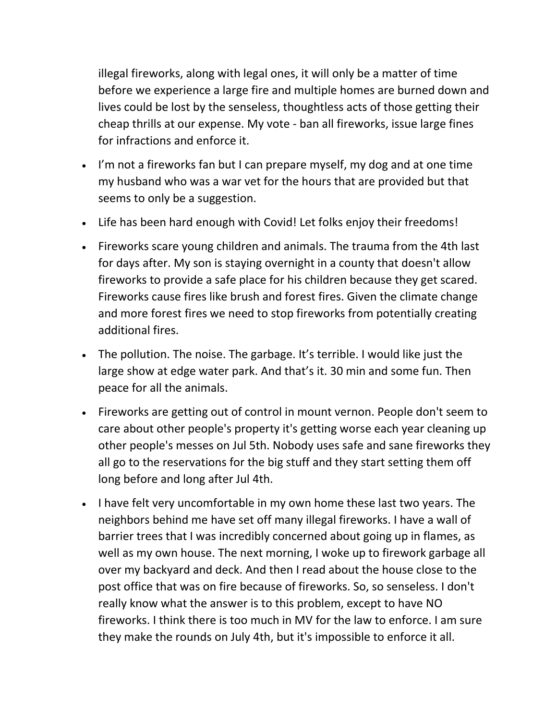illegal fireworks, along with legal ones, it will only be a matter of time before we experience a large fire and multiple homes are burned down and lives could be lost by the senseless, thoughtless acts of those getting their cheap thrills at our expense. My vote - ban all fireworks, issue large fines for infractions and enforce it.

- I'm not a fireworks fan but I can prepare myself, my dog and at one time my husband who was a war vet for the hours that are provided but that seems to only be a suggestion.
- Life has been hard enough with Covid! Let folks enjoy their freedoms!
- Fireworks scare young children and animals. The trauma from the 4th last for days after. My son is staying overnight in a county that doesn't allow fireworks to provide a safe place for his children because they get scared. Fireworks cause fires like brush and forest fires. Given the climate change and more forest fires we need to stop fireworks from potentially creating additional fires.
- The pollution. The noise. The garbage. It's terrible. I would like just the large show at edge water park. And that's it. 30 min and some fun. Then peace for all the animals.
- Fireworks are getting out of control in mount vernon. People don't seem to care about other people's property it's getting worse each year cleaning up other people's messes on Jul 5th. Nobody uses safe and sane fireworks they all go to the reservations for the big stuff and they start setting them off long before and long after Jul 4th.
- I have felt very uncomfortable in my own home these last two years. The neighbors behind me have set off many illegal fireworks. I have a wall of barrier trees that I was incredibly concerned about going up in flames, as well as my own house. The next morning, I woke up to firework garbage all over my backyard and deck. And then I read about the house close to the post office that was on fire because of fireworks. So, so senseless. I don't really know what the answer is to this problem, except to have NO fireworks. I think there is too much in MV for the law to enforce. I am sure they make the rounds on July 4th, but it's impossible to enforce it all.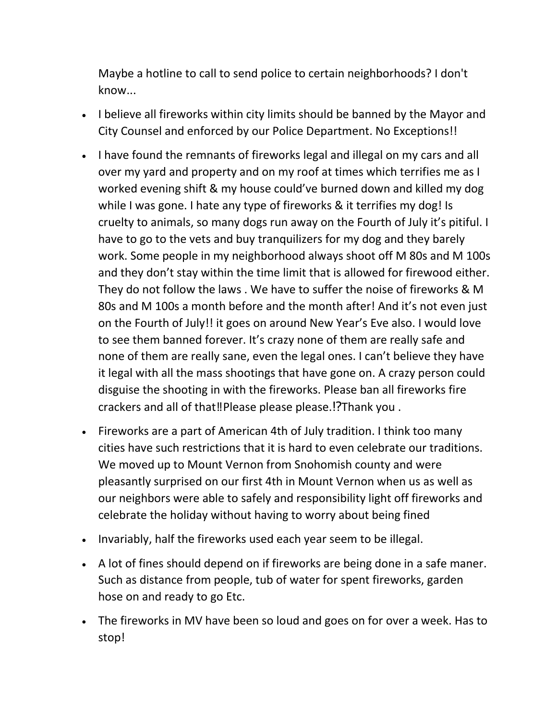Maybe a hotline to call to send police to certain neighborhoods? I don't know...

- I believe all fireworks within city limits should be banned by the Mayor and City Counsel and enforced by our Police Department. No Exceptions!!
- I have found the remnants of fireworks legal and illegal on my cars and all over my yard and property and on my roof at times which terrifies me as I worked evening shift & my house could've burned down and killed my dog while I was gone. I hate any type of fireworks & it terrifies my dog! Is cruelty to animals, so many dogs run away on the Fourth of July it's pitiful. I have to go to the vets and buy tranquilizers for my dog and they barely work. Some people in my neighborhood always shoot off M 80s and M 100s and they don't stay within the time limit that is allowed for firewood either. They do not follow the laws . We have to suffer the noise of fireworks & M 80s and M 100s a month before and the month after! And it's not even just on the Fourth of July!! it goes on around New Year's Eve also. I would love to see them banned forever. It's crazy none of them are really safe and none of them are really sane, even the legal ones. I can't believe they have it legal with all the mass shootings that have gone on. A crazy person could disguise the shooting in with the fireworks. Please ban all fireworks fire crackers and all of that‼️Please please please.⁉️Thank you .
- Fireworks are a part of American 4th of July tradition. I think too many cities have such restrictions that it is hard to even celebrate our traditions. We moved up to Mount Vernon from Snohomish county and were pleasantly surprised on our first 4th in Mount Vernon when us as well as our neighbors were able to safely and responsibility light off fireworks and celebrate the holiday without having to worry about being fined
- Invariably, half the fireworks used each year seem to be illegal.
- A lot of fines should depend on if fireworks are being done in a safe maner. Such as distance from people, tub of water for spent fireworks, garden hose on and ready to go Etc.
- The fireworks in MV have been so loud and goes on for over a week. Has to stop!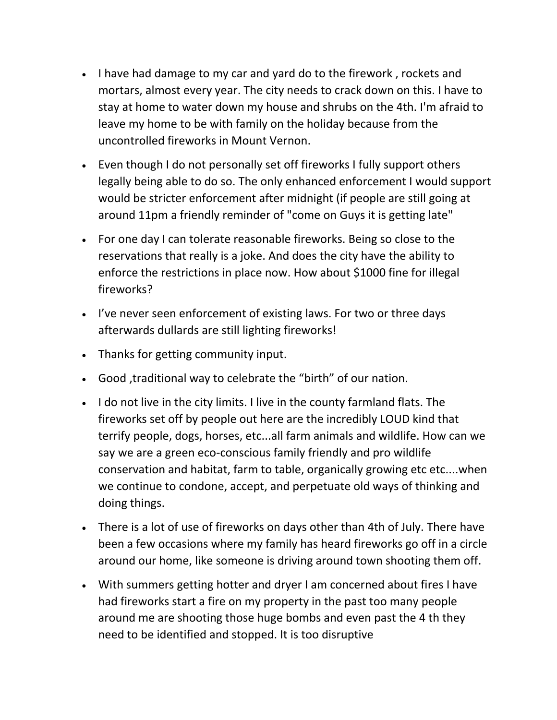- I have had damage to my car and yard do to the firework, rockets and mortars, almost every year. The city needs to crack down on this. I have to stay at home to water down my house and shrubs on the 4th. I'm afraid to leave my home to be with family on the holiday because from the uncontrolled fireworks in Mount Vernon.
- Even though I do not personally set off fireworks I fully support others legally being able to do so. The only enhanced enforcement I would support would be stricter enforcement after midnight (if people are still going at around 11pm a friendly reminder of "come on Guys it is getting late"
- For one day I can tolerate reasonable fireworks. Being so close to the reservations that really is a joke. And does the city have the ability to enforce the restrictions in place now. How about \$1000 fine for illegal fireworks?
- I've never seen enforcement of existing laws. For two or three days afterwards dullards are still lighting fireworks!
- Thanks for getting community input.
- Good ,traditional way to celebrate the "birth" of our nation.
- I do not live in the city limits. I live in the county farmland flats. The fireworks set off by people out here are the incredibly LOUD kind that terrify people, dogs, horses, etc...all farm animals and wildlife. How can we say we are a green eco-conscious family friendly and pro wildlife conservation and habitat, farm to table, organically growing etc etc....when we continue to condone, accept, and perpetuate old ways of thinking and doing things.
- There is a lot of use of fireworks on days other than 4th of July. There have been a few occasions where my family has heard fireworks go off in a circle around our home, like someone is driving around town shooting them off.
- With summers getting hotter and dryer I am concerned about fires I have had fireworks start a fire on my property in the past too many people around me are shooting those huge bombs and even past the 4 th they need to be identified and stopped. It is too disruptive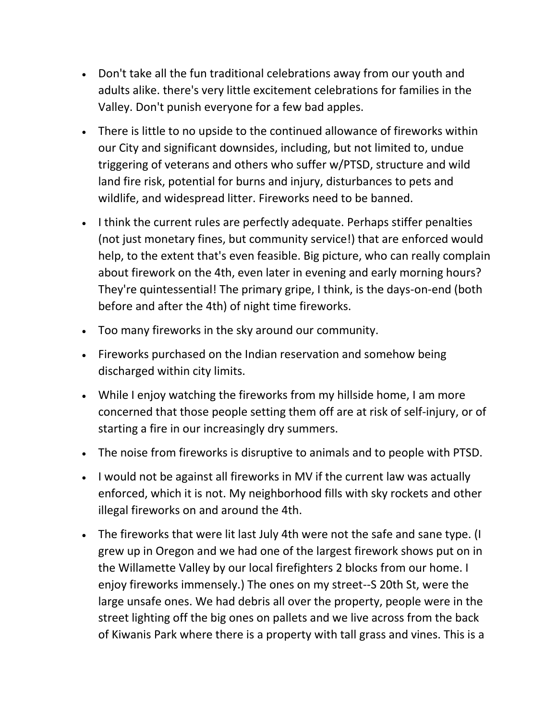- Don't take all the fun traditional celebrations away from our youth and adults alike. there's very little excitement celebrations for families in the Valley. Don't punish everyone for a few bad apples.
- There is little to no upside to the continued allowance of fireworks within our City and significant downsides, including, but not limited to, undue triggering of veterans and others who suffer w/PTSD, structure and wild land fire risk, potential for burns and injury, disturbances to pets and wildlife, and widespread litter. Fireworks need to be banned.
- I think the current rules are perfectly adequate. Perhaps stiffer penalties (not just monetary fines, but community service!) that are enforced would help, to the extent that's even feasible. Big picture, who can really complain about firework on the 4th, even later in evening and early morning hours? They're quintessential! The primary gripe, I think, is the days-on-end (both before and after the 4th) of night time fireworks.
- Too many fireworks in the sky around our community.
- Fireworks purchased on the Indian reservation and somehow being discharged within city limits.
- While I enjoy watching the fireworks from my hillside home, I am more concerned that those people setting them off are at risk of self-injury, or of starting a fire in our increasingly dry summers.
- The noise from fireworks is disruptive to animals and to people with PTSD.
- I would not be against all fireworks in MV if the current law was actually enforced, which it is not. My neighborhood fills with sky rockets and other illegal fireworks on and around the 4th.
- The fireworks that were lit last July 4th were not the safe and sane type. (I grew up in Oregon and we had one of the largest firework shows put on in the Willamette Valley by our local firefighters 2 blocks from our home. I enjoy fireworks immensely.) The ones on my street--S 20th St, were the large unsafe ones. We had debris all over the property, people were in the street lighting off the big ones on pallets and we live across from the back of Kiwanis Park where there is a property with tall grass and vines. This is a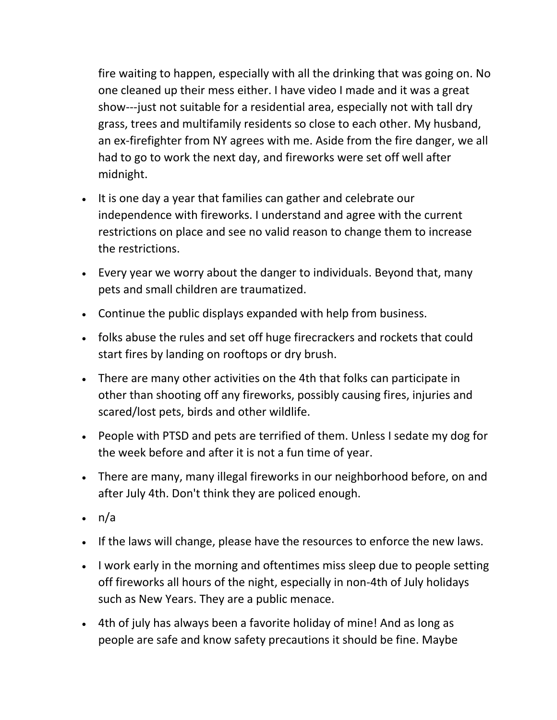fire waiting to happen, especially with all the drinking that was going on. No one cleaned up their mess either. I have video I made and it was a great show---just not suitable for a residential area, especially not with tall dry grass, trees and multifamily residents so close to each other. My husband, an ex-firefighter from NY agrees with me. Aside from the fire danger, we all had to go to work the next day, and fireworks were set off well after midnight.

- It is one day a year that families can gather and celebrate our independence with fireworks. I understand and agree with the current restrictions on place and see no valid reason to change them to increase the restrictions.
- Every year we worry about the danger to individuals. Beyond that, many pets and small children are traumatized.
- Continue the public displays expanded with help from business.
- folks abuse the rules and set off huge firecrackers and rockets that could start fires by landing on rooftops or dry brush.
- There are many other activities on the 4th that folks can participate in other than shooting off any fireworks, possibly causing fires, injuries and scared/lost pets, birds and other wildlife.
- People with PTSD and pets are terrified of them. Unless I sedate my dog for the week before and after it is not a fun time of year.
- There are many, many illegal fireworks in our neighborhood before, on and after July 4th. Don't think they are policed enough.
- n/a
- If the laws will change, please have the resources to enforce the new laws.
- I work early in the morning and oftentimes miss sleep due to people setting off fireworks all hours of the night, especially in non-4th of July holidays such as New Years. They are a public menace.
- 4th of july has always been a favorite holiday of mine! And as long as people are safe and know safety precautions it should be fine. Maybe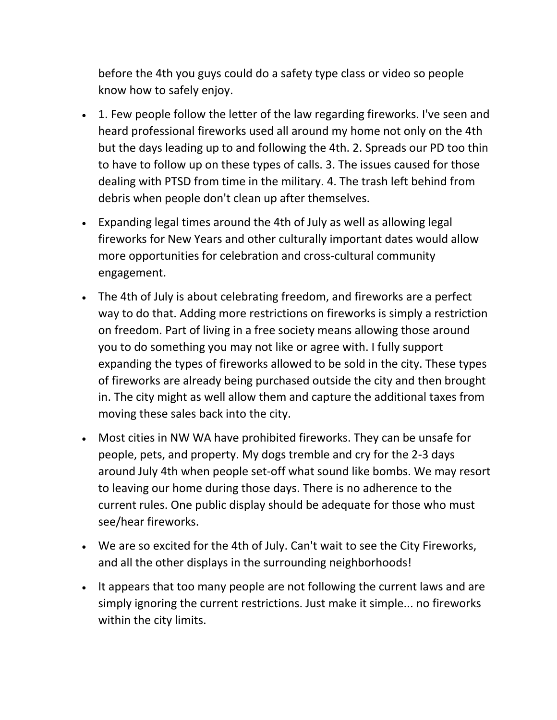before the 4th you guys could do a safety type class or video so people know how to safely enjoy.

- 1. Few people follow the letter of the law regarding fireworks. I've seen and heard professional fireworks used all around my home not only on the 4th but the days leading up to and following the 4th. 2. Spreads our PD too thin to have to follow up on these types of calls. 3. The issues caused for those dealing with PTSD from time in the military. 4. The trash left behind from debris when people don't clean up after themselves.
- Expanding legal times around the 4th of July as well as allowing legal fireworks for New Years and other culturally important dates would allow more opportunities for celebration and cross-cultural community engagement.
- The 4th of July is about celebrating freedom, and fireworks are a perfect way to do that. Adding more restrictions on fireworks is simply a restriction on freedom. Part of living in a free society means allowing those around you to do something you may not like or agree with. I fully support expanding the types of fireworks allowed to be sold in the city. These types of fireworks are already being purchased outside the city and then brought in. The city might as well allow them and capture the additional taxes from moving these sales back into the city.
- Most cities in NW WA have prohibited fireworks. They can be unsafe for people, pets, and property. My dogs tremble and cry for the 2-3 days around July 4th when people set-off what sound like bombs. We may resort to leaving our home during those days. There is no adherence to the current rules. One public display should be adequate for those who must see/hear fireworks.
- We are so excited for the 4th of July. Can't wait to see the City Fireworks, and all the other displays in the surrounding neighborhoods!
- It appears that too many people are not following the current laws and are simply ignoring the current restrictions. Just make it simple... no fireworks within the city limits.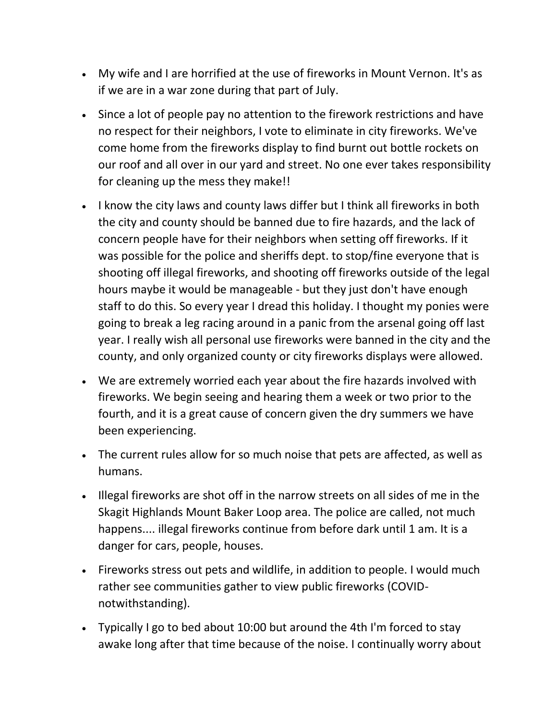- My wife and I are horrified at the use of fireworks in Mount Vernon. It's as if we are in a war zone during that part of July.
- Since a lot of people pay no attention to the firework restrictions and have no respect for their neighbors, I vote to eliminate in city fireworks. We've come home from the fireworks display to find burnt out bottle rockets on our roof and all over in our yard and street. No one ever takes responsibility for cleaning up the mess they make!!
- I know the city laws and county laws differ but I think all fireworks in both the city and county should be banned due to fire hazards, and the lack of concern people have for their neighbors when setting off fireworks. If it was possible for the police and sheriffs dept. to stop/fine everyone that is shooting off illegal fireworks, and shooting off fireworks outside of the legal hours maybe it would be manageable - but they just don't have enough staff to do this. So every year I dread this holiday. I thought my ponies were going to break a leg racing around in a panic from the arsenal going off last year. I really wish all personal use fireworks were banned in the city and the county, and only organized county or city fireworks displays were allowed.
- We are extremely worried each year about the fire hazards involved with fireworks. We begin seeing and hearing them a week or two prior to the fourth, and it is a great cause of concern given the dry summers we have been experiencing.
- The current rules allow for so much noise that pets are affected, as well as humans.
- Illegal fireworks are shot off in the narrow streets on all sides of me in the Skagit Highlands Mount Baker Loop area. The police are called, not much happens.... illegal fireworks continue from before dark until 1 am. It is a danger for cars, people, houses.
- Fireworks stress out pets and wildlife, in addition to people. I would much rather see communities gather to view public fireworks (COVIDnotwithstanding).
- Typically I go to bed about 10:00 but around the 4th I'm forced to stay awake long after that time because of the noise. I continually worry about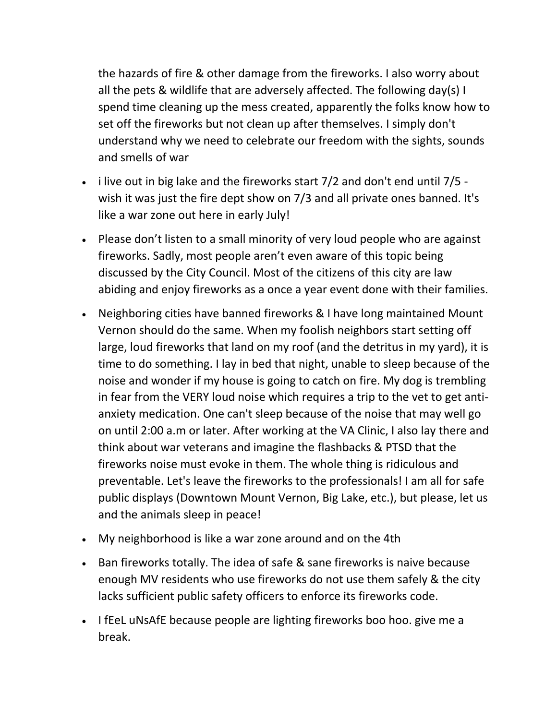the hazards of fire & other damage from the fireworks. I also worry about all the pets & wildlife that are adversely affected. The following day(s) I spend time cleaning up the mess created, apparently the folks know how to set off the fireworks but not clean up after themselves. I simply don't understand why we need to celebrate our freedom with the sights, sounds and smells of war

- $\cdot$  i live out in big lake and the fireworks start 7/2 and don't end until 7/5 wish it was just the fire dept show on 7/3 and all private ones banned. It's like a war zone out here in early July!
- Please don't listen to a small minority of very loud people who are against fireworks. Sadly, most people aren't even aware of this topic being discussed by the City Council. Most of the citizens of this city are law abiding and enjoy fireworks as a once a year event done with their families.
- Neighboring cities have banned fireworks & I have long maintained Mount Vernon should do the same. When my foolish neighbors start setting off large, loud fireworks that land on my roof (and the detritus in my yard), it is time to do something. I lay in bed that night, unable to sleep because of the noise and wonder if my house is going to catch on fire. My dog is trembling in fear from the VERY loud noise which requires a trip to the vet to get antianxiety medication. One can't sleep because of the noise that may well go on until 2:00 a.m or later. After working at the VA Clinic, I also lay there and think about war veterans and imagine the flashbacks & PTSD that the fireworks noise must evoke in them. The whole thing is ridiculous and preventable. Let's leave the fireworks to the professionals! I am all for safe public displays (Downtown Mount Vernon, Big Lake, etc.), but please, let us and the animals sleep in peace!
- My neighborhood is like a war zone around and on the 4th
- Ban fireworks totally. The idea of safe & sane fireworks is naive because enough MV residents who use fireworks do not use them safely & the city lacks sufficient public safety officers to enforce its fireworks code.
- I fEeL uNsAfE because people are lighting fireworks boo hoo. give me a break.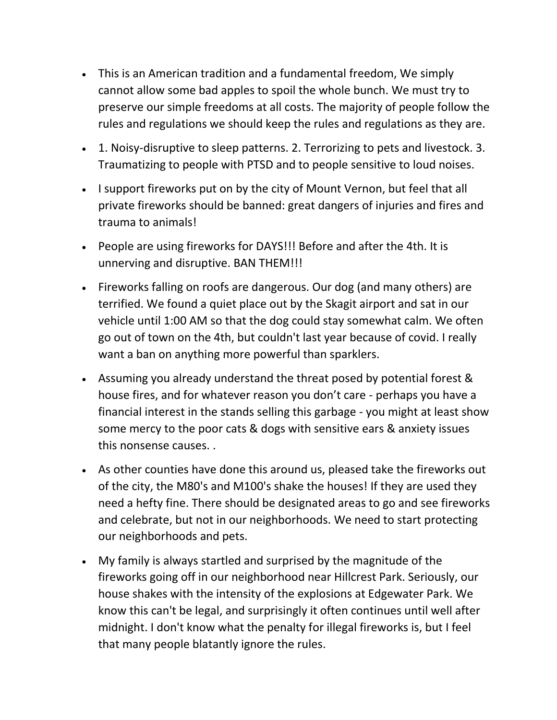- This is an American tradition and a fundamental freedom, We simply cannot allow some bad apples to spoil the whole bunch. We must try to preserve our simple freedoms at all costs. The majority of people follow the rules and regulations we should keep the rules and regulations as they are.
- 1. Noisy-disruptive to sleep patterns. 2. Terrorizing to pets and livestock. 3. Traumatizing to people with PTSD and to people sensitive to loud noises.
- I support fireworks put on by the city of Mount Vernon, but feel that all private fireworks should be banned: great dangers of injuries and fires and trauma to animals!
- People are using fireworks for DAYS!!! Before and after the 4th. It is unnerving and disruptive. BAN THEM!!!
- Fireworks falling on roofs are dangerous. Our dog (and many others) are terrified. We found a quiet place out by the Skagit airport and sat in our vehicle until 1:00 AM so that the dog could stay somewhat calm. We often go out of town on the 4th, but couldn't last year because of covid. I really want a ban on anything more powerful than sparklers.
- Assuming you already understand the threat posed by potential forest & house fires, and for whatever reason you don't care - perhaps you have a financial interest in the stands selling this garbage - you might at least show some mercy to the poor cats & dogs with sensitive ears & anxiety issues this nonsense causes. .
- As other counties have done this around us, pleased take the fireworks out of the city, the M80's and M100's shake the houses! If they are used they need a hefty fine. There should be designated areas to go and see fireworks and celebrate, but not in our neighborhoods. We need to start protecting our neighborhoods and pets.
- My family is always startled and surprised by the magnitude of the fireworks going off in our neighborhood near Hillcrest Park. Seriously, our house shakes with the intensity of the explosions at Edgewater Park. We know this can't be legal, and surprisingly it often continues until well after midnight. I don't know what the penalty for illegal fireworks is, but I feel that many people blatantly ignore the rules.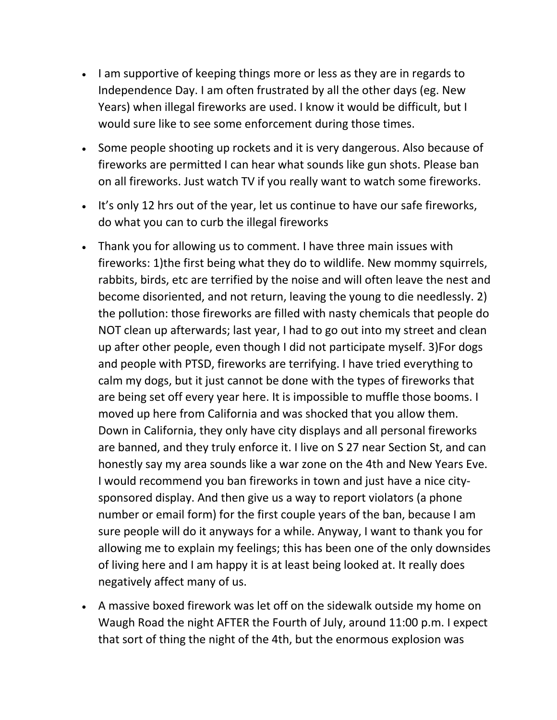- I am supportive of keeping things more or less as they are in regards to Independence Day. I am often frustrated by all the other days (eg. New Years) when illegal fireworks are used. I know it would be difficult, but I would sure like to see some enforcement during those times.
- Some people shooting up rockets and it is very dangerous. Also because of fireworks are permitted I can hear what sounds like gun shots. Please ban on all fireworks. Just watch TV if you really want to watch some fireworks.
- It's only 12 hrs out of the year, let us continue to have our safe fireworks, do what you can to curb the illegal fireworks
- Thank you for allowing us to comment. I have three main issues with fireworks: 1)the first being what they do to wildlife. New mommy squirrels, rabbits, birds, etc are terrified by the noise and will often leave the nest and become disoriented, and not return, leaving the young to die needlessly. 2) the pollution: those fireworks are filled with nasty chemicals that people do NOT clean up afterwards; last year, I had to go out into my street and clean up after other people, even though I did not participate myself. 3)For dogs and people with PTSD, fireworks are terrifying. I have tried everything to calm my dogs, but it just cannot be done with the types of fireworks that are being set off every year here. It is impossible to muffle those booms. I moved up here from California and was shocked that you allow them. Down in California, they only have city displays and all personal fireworks are banned, and they truly enforce it. I live on S 27 near Section St, and can honestly say my area sounds like a war zone on the 4th and New Years Eve. I would recommend you ban fireworks in town and just have a nice citysponsored display. And then give us a way to report violators (a phone number or email form) for the first couple years of the ban, because I am sure people will do it anyways for a while. Anyway, I want to thank you for allowing me to explain my feelings; this has been one of the only downsides of living here and I am happy it is at least being looked at. It really does negatively affect many of us.
- A massive boxed firework was let off on the sidewalk outside my home on Waugh Road the night AFTER the Fourth of July, around 11:00 p.m. I expect that sort of thing the night of the 4th, but the enormous explosion was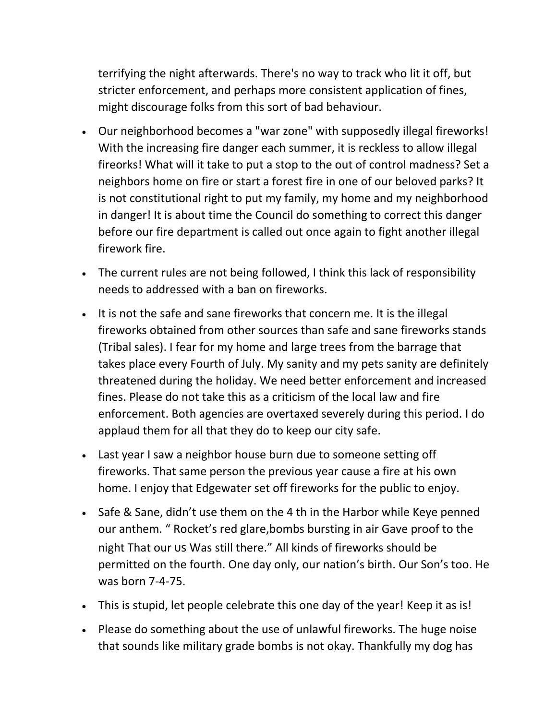terrifying the night afterwards. There's no way to track who lit it off, but stricter enforcement, and perhaps more consistent application of fines, might discourage folks from this sort of bad behaviour.

- Our neighborhood becomes a "war zone" with supposedly illegal fireworks! With the increasing fire danger each summer, it is reckless to allow illegal fireorks! What will it take to put a stop to the out of control madness? Set a neighbors home on fire or start a forest fire in one of our beloved parks? It is not constitutional right to put my family, my home and my neighborhood in danger! It is about time the Council do something to correct this danger before our fire department is called out once again to fight another illegal firework fire.
- The current rules are not being followed, I think this lack of responsibility needs to addressed with a ban on fireworks.
- It is not the safe and sane fireworks that concern me. It is the illegal fireworks obtained from other sources than safe and sane fireworks stands (Tribal sales). I fear for my home and large trees from the barrage that takes place every Fourth of July. My sanity and my pets sanity are definitely threatened during the holiday. We need better enforcement and increased fines. Please do not take this as a criticism of the local law and fire enforcement. Both agencies are overtaxed severely during this period. I do applaud them for all that they do to keep our city safe.
- Last year I saw a neighbor house burn due to someone setting off fireworks. That same person the previous year cause a fire at his own home. I enjoy that Edgewater set off fireworks for the public to enjoy.
- Safe & Sane, didn't use them on the 4 th in the Harbor while Keye penned our anthem. " Rocket's red glare,bombs bursting in air Gave proof to the night That our us Was still there." All kinds of fireworks should be permitted on the fourth. One day only, our nation's birth. Our Son's too. He was born 7-4-75.
- This is stupid, let people celebrate this one day of the year! Keep it as is!
- Please do something about the use of unlawful fireworks. The huge noise that sounds like military grade bombs is not okay. Thankfully my dog has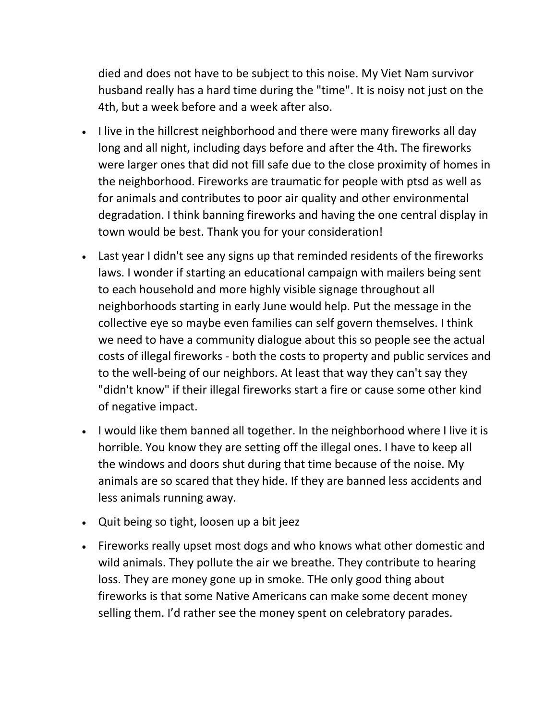died and does not have to be subject to this noise. My Viet Nam survivor husband really has a hard time during the "time". It is noisy not just on the 4th, but a week before and a week after also.

- I live in the hillcrest neighborhood and there were many fireworks all day long and all night, including days before and after the 4th. The fireworks were larger ones that did not fill safe due to the close proximity of homes in the neighborhood. Fireworks are traumatic for people with ptsd as well as for animals and contributes to poor air quality and other environmental degradation. I think banning fireworks and having the one central display in town would be best. Thank you for your consideration!
- Last year I didn't see any signs up that reminded residents of the fireworks laws. I wonder if starting an educational campaign with mailers being sent to each household and more highly visible signage throughout all neighborhoods starting in early June would help. Put the message in the collective eye so maybe even families can self govern themselves. I think we need to have a community dialogue about this so people see the actual costs of illegal fireworks - both the costs to property and public services and to the well-being of our neighbors. At least that way they can't say they "didn't know" if their illegal fireworks start a fire or cause some other kind of negative impact.
- I would like them banned all together. In the neighborhood where I live it is horrible. You know they are setting off the illegal ones. I have to keep all the windows and doors shut during that time because of the noise. My animals are so scared that they hide. If they are banned less accidents and less animals running away.
- Quit being so tight, loosen up a bit jeez
- Fireworks really upset most dogs and who knows what other domestic and wild animals. They pollute the air we breathe. They contribute to hearing loss. They are money gone up in smoke. THe only good thing about fireworks is that some Native Americans can make some decent money selling them. I'd rather see the money spent on celebratory parades.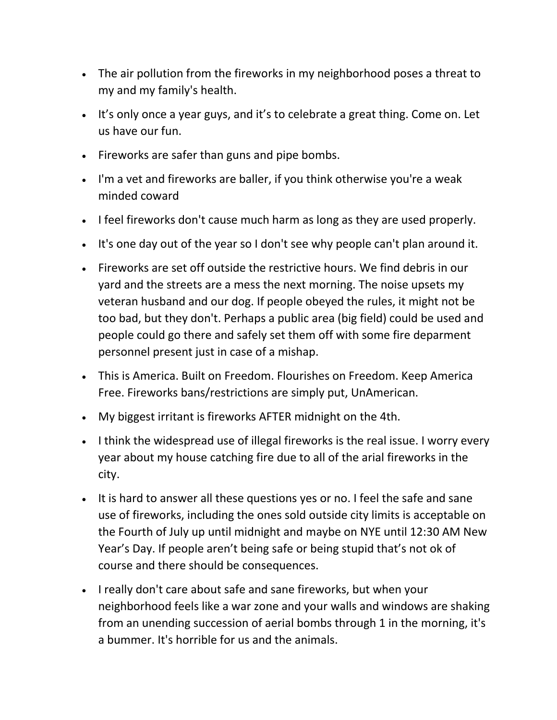- The air pollution from the fireworks in my neighborhood poses a threat to my and my family's health.
- It's only once a year guys, and it's to celebrate a great thing. Come on. Let us have our fun.
- Fireworks are safer than guns and pipe bombs.
- I'm a vet and fireworks are baller, if you think otherwise you're a weak minded coward
- I feel fireworks don't cause much harm as long as they are used properly.
- . It's one day out of the year so I don't see why people can't plan around it.
- Fireworks are set off outside the restrictive hours. We find debris in our yard and the streets are a mess the next morning. The noise upsets my veteran husband and our dog. If people obeyed the rules, it might not be too bad, but they don't. Perhaps a public area (big field) could be used and people could go there and safely set them off with some fire deparment personnel present just in case of a mishap.
- This is America. Built on Freedom. Flourishes on Freedom. Keep America Free. Fireworks bans/restrictions are simply put, UnAmerican.
- My biggest irritant is fireworks AFTER midnight on the 4th.
- I think the widespread use of illegal fireworks is the real issue. I worry every year about my house catching fire due to all of the arial fireworks in the city.
- It is hard to answer all these questions yes or no. I feel the safe and sane use of fireworks, including the ones sold outside city limits is acceptable on the Fourth of July up until midnight and maybe on NYE until 12:30 AM New Year's Day. If people aren't being safe or being stupid that's not ok of course and there should be consequences.
- I really don't care about safe and sane fireworks, but when your neighborhood feels like a war zone and your walls and windows are shaking from an unending succession of aerial bombs through 1 in the morning, it's a bummer. It's horrible for us and the animals.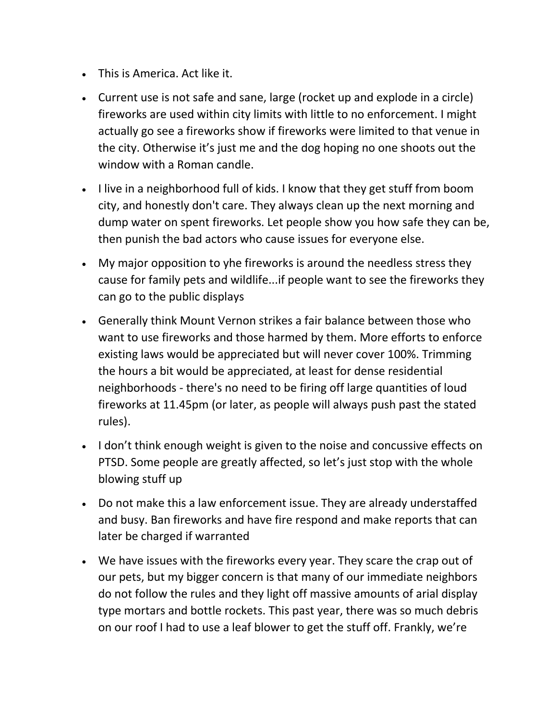- This is America. Act like it.
- Current use is not safe and sane, large (rocket up and explode in a circle) fireworks are used within city limits with little to no enforcement. I might actually go see a fireworks show if fireworks were limited to that venue in the city. Otherwise it's just me and the dog hoping no one shoots out the window with a Roman candle.
- I live in a neighborhood full of kids. I know that they get stuff from boom city, and honestly don't care. They always clean up the next morning and dump water on spent fireworks. Let people show you how safe they can be, then punish the bad actors who cause issues for everyone else.
- My major opposition to yhe fireworks is around the needless stress they cause for family pets and wildlife...if people want to see the fireworks they can go to the public displays
- Generally think Mount Vernon strikes a fair balance between those who want to use fireworks and those harmed by them. More efforts to enforce existing laws would be appreciated but will never cover 100%. Trimming the hours a bit would be appreciated, at least for dense residential neighborhoods - there's no need to be firing off large quantities of loud fireworks at 11.45pm (or later, as people will always push past the stated rules).
- I don't think enough weight is given to the noise and concussive effects on PTSD. Some people are greatly affected, so let's just stop with the whole blowing stuff up
- Do not make this a law enforcement issue. They are already understaffed and busy. Ban fireworks and have fire respond and make reports that can later be charged if warranted
- We have issues with the fireworks every year. They scare the crap out of our pets, but my bigger concern is that many of our immediate neighbors do not follow the rules and they light off massive amounts of arial display type mortars and bottle rockets. This past year, there was so much debris on our roof I had to use a leaf blower to get the stuff off. Frankly, we're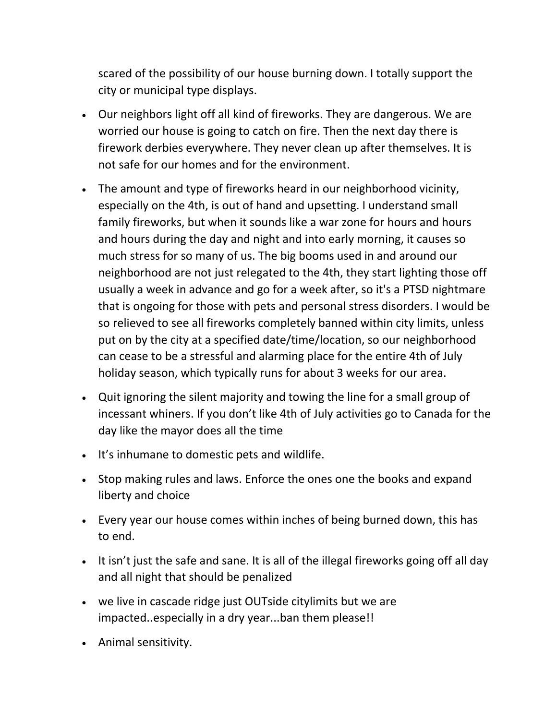scared of the possibility of our house burning down. I totally support the city or municipal type displays.

- Our neighbors light off all kind of fireworks. They are dangerous. We are worried our house is going to catch on fire. Then the next day there is firework derbies everywhere. They never clean up after themselves. It is not safe for our homes and for the environment.
- The amount and type of fireworks heard in our neighborhood vicinity, especially on the 4th, is out of hand and upsetting. I understand small family fireworks, but when it sounds like a war zone for hours and hours and hours during the day and night and into early morning, it causes so much stress for so many of us. The big booms used in and around our neighborhood are not just relegated to the 4th, they start lighting those off usually a week in advance and go for a week after, so it's a PTSD nightmare that is ongoing for those with pets and personal stress disorders. I would be so relieved to see all fireworks completely banned within city limits, unless put on by the city at a specified date/time/location, so our neighborhood can cease to be a stressful and alarming place for the entire 4th of July holiday season, which typically runs for about 3 weeks for our area.
- Quit ignoring the silent majority and towing the line for a small group of incessant whiners. If you don't like 4th of July activities go to Canada for the day like the mayor does all the time
- It's inhumane to domestic pets and wildlife.
- Stop making rules and laws. Enforce the ones one the books and expand liberty and choice
- Every year our house comes within inches of being burned down, this has to end.
- It isn't just the safe and sane. It is all of the illegal fireworks going off all day and all night that should be penalized
- we live in cascade ridge just OUTside citylimits but we are impacted..especially in a dry year...ban them please!!
- Animal sensitivity.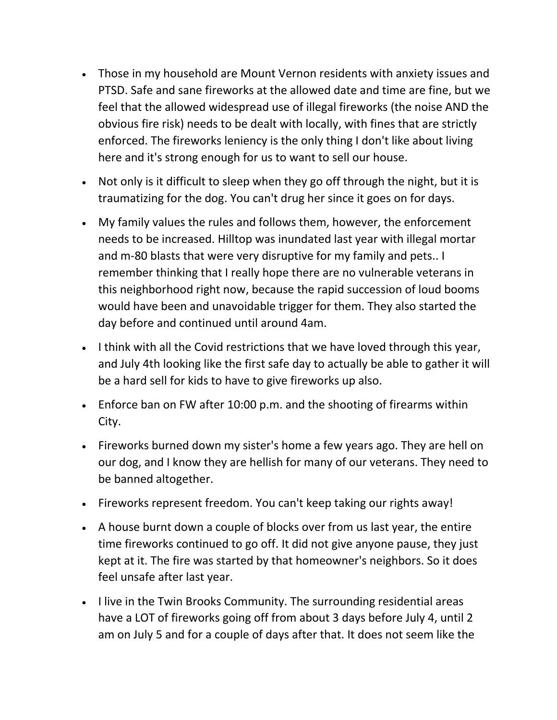- Those in my household are Mount Vernon residents with anxiety issues and PTSD. Safe and sane fireworks at the allowed date and time are fine, but we feel that the allowed widespread use of illegal fireworks (the noise AND the obvious fire risk) needs to be dealt with locally, with fines that are strictly enforced. The fireworks leniency is the only thing I don't like about living here and it's strong enough for us to want to sell our house.
- Not only is it difficult to sleep when they go off through the night, but it is traumatizing for the dog. You can't drug her since it goes on for days.
- My family values the rules and follows them, however, the enforcement needs to be increased. Hilltop was inundated last year with illegal mortar and m-80 blasts that were very disruptive for my family and pets.. I remember thinking that I really hope there are no vulnerable veterans in this neighborhood right now, because the rapid succession of loud booms would have been and unavoidable trigger for them. They also started the day before and continued until around 4am.
- I think with all the Covid restrictions that we have loved through this year, and July 4th looking like the first safe day to actually be able to gather it will be a hard sell for kids to have to give fireworks up also.
- Enforce ban on FW after 10:00 p.m. and the shooting of firearms within City.
- Fireworks burned down my sister's home a few years ago. They are hell on our dog, and I know they are hellish for many of our veterans. They need to be banned altogether.
- Fireworks represent freedom. You can't keep taking our rights away!
- A house burnt down a couple of blocks over from us last year, the entire time fireworks continued to go off. It did not give anyone pause, they just kept at it. The fire was started by that homeowner's neighbors. So it does feel unsafe after last year.
- I live in the Twin Brooks Community. The surrounding residential areas have a LOT of fireworks going off from about 3 days before July 4, until 2 am on July 5 and for a couple of days after that. It does not seem like the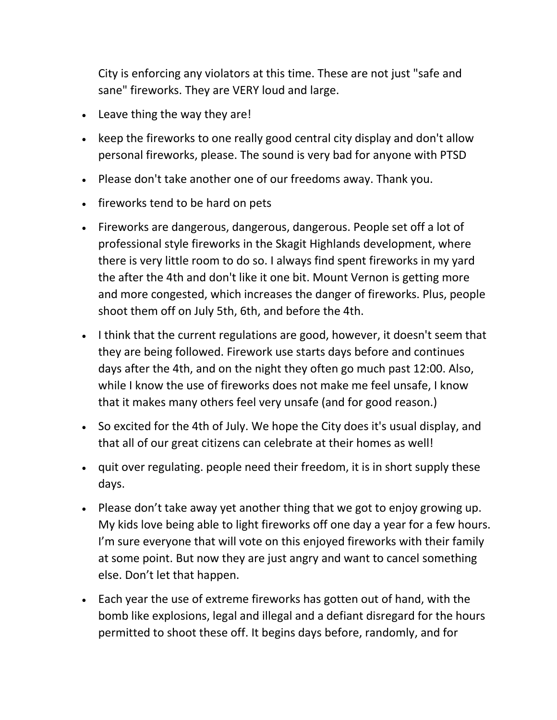City is enforcing any violators at this time. These are not just "safe and sane" fireworks. They are VERY loud and large.

- Leave thing the way they are!
- keep the fireworks to one really good central city display and don't allow personal fireworks, please. The sound is very bad for anyone with PTSD
- Please don't take another one of our freedoms away. Thank you.
- fireworks tend to be hard on pets
- Fireworks are dangerous, dangerous, dangerous. People set off a lot of professional style fireworks in the Skagit Highlands development, where there is very little room to do so. I always find spent fireworks in my yard the after the 4th and don't like it one bit. Mount Vernon is getting more and more congested, which increases the danger of fireworks. Plus, people shoot them off on July 5th, 6th, and before the 4th.
- I think that the current regulations are good, however, it doesn't seem that they are being followed. Firework use starts days before and continues days after the 4th, and on the night they often go much past 12:00. Also, while I know the use of fireworks does not make me feel unsafe, I know that it makes many others feel very unsafe (and for good reason.)
- So excited for the 4th of July. We hope the City does it's usual display, and that all of our great citizens can celebrate at their homes as well!
- quit over regulating. people need their freedom, it is in short supply these days.
- Please don't take away yet another thing that we got to enjoy growing up. My kids love being able to light fireworks off one day a year for a few hours. I'm sure everyone that will vote on this enjoyed fireworks with their family at some point. But now they are just angry and want to cancel something else. Don't let that happen.
- Each year the use of extreme fireworks has gotten out of hand, with the bomb like explosions, legal and illegal and a defiant disregard for the hours permitted to shoot these off. It begins days before, randomly, and for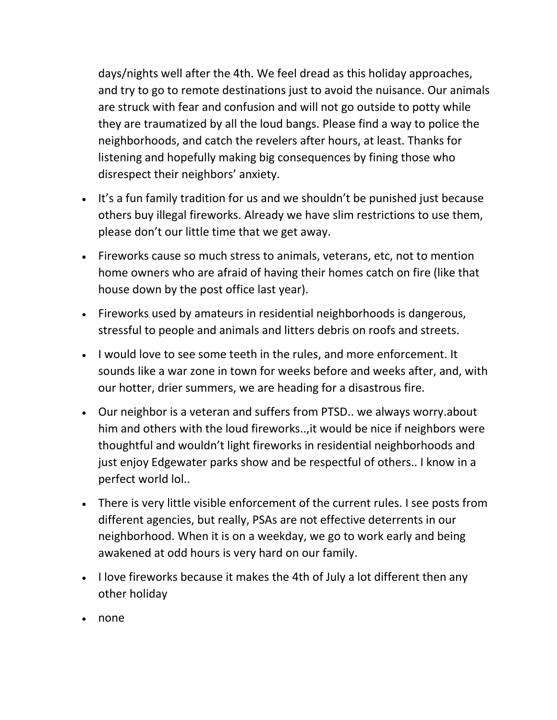days/nights well after the 4th. We feel dread as this holiday approaches, and try to go to remote destinations just to avoid the nuisance. Our animals are struck with fear and confusion and will not go outside to potty while they are traumatized by all the loud bangs. Please find a way to police the neighborhoods, and catch the revelers after hours, at least. Thanks for listening and hopefully making big consequences by fining those who disrespect their neighbors' anxiety.

- It's a fun family tradition for us and we shouldn't be punished just because others buy illegal fireworks. Already we have slim restrictions to use them, please don't our little time that we get away.
- Fireworks cause so much stress to animals, veterans, etc, not to mention home owners who are afraid of having their homes catch on fire (like that house down by the post office last year).
- Fireworks used by amateurs in residential neighborhoods is dangerous, stressful to people and animals and litters debris on roofs and streets.
- I would love to see some teeth in the rules, and more enforcement. It sounds like a war zone in town for weeks before and weeks after, and, with our hotter, drier summers, we are heading for a disastrous fire.
- Our neighbor is a veteran and suffers from PTSD.. we always worry.about him and others with the loud fireworks..,it would be nice if neighbors were thoughtful and wouldn't light fireworks in residential neighborhoods and just enjoy Edgewater parks show and be respectful of others.. I know in a perfect world lol..
- There is very little visible enforcement of the current rules. I see posts from different agencies, but really, PSAs are not effective deterrents in our neighborhood. When it is on a weekday, we go to work early and being awakened at odd hours is very hard on our family.
- I love fireworks because it makes the 4th of July a lot different then any other holiday
- none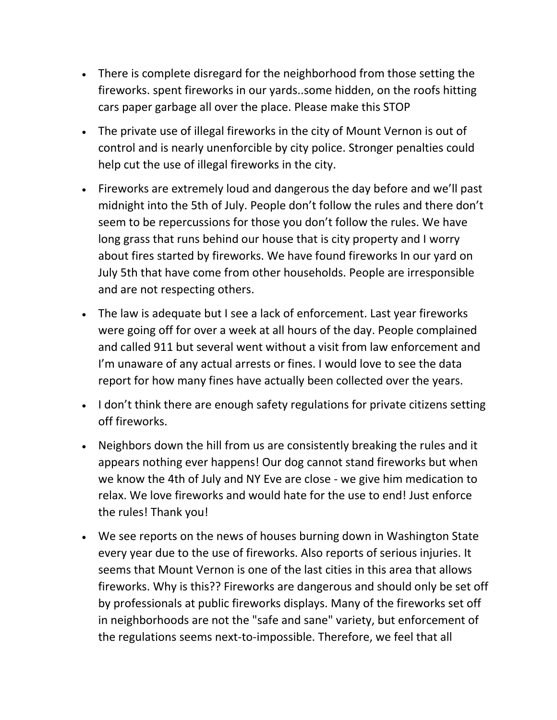- There is complete disregard for the neighborhood from those setting the fireworks. spent fireworks in our yards..some hidden, on the roofs hitting cars paper garbage all over the place. Please make this STOP
- The private use of illegal fireworks in the city of Mount Vernon is out of control and is nearly unenforcible by city police. Stronger penalties could help cut the use of illegal fireworks in the city.
- Fireworks are extremely loud and dangerous the day before and we'll past midnight into the 5th of July. People don't follow the rules and there don't seem to be repercussions for those you don't follow the rules. We have long grass that runs behind our house that is city property and I worry about fires started by fireworks. We have found fireworks In our yard on July 5th that have come from other households. People are irresponsible and are not respecting others.
- The law is adequate but I see a lack of enforcement. Last year fireworks were going off for over a week at all hours of the day. People complained and called 911 but several went without a visit from law enforcement and I'm unaware of any actual arrests or fines. I would love to see the data report for how many fines have actually been collected over the years.
- I don't think there are enough safety regulations for private citizens setting off fireworks.
- Neighbors down the hill from us are consistently breaking the rules and it appears nothing ever happens! Our dog cannot stand fireworks but when we know the 4th of July and NY Eve are close - we give him medication to relax. We love fireworks and would hate for the use to end! Just enforce the rules! Thank you!
- We see reports on the news of houses burning down in Washington State every year due to the use of fireworks. Also reports of serious injuries. It seems that Mount Vernon is one of the last cities in this area that allows fireworks. Why is this?? Fireworks are dangerous and should only be set off by professionals at public fireworks displays. Many of the fireworks set off in neighborhoods are not the "safe and sane" variety, but enforcement of the regulations seems next-to-impossible. Therefore, we feel that all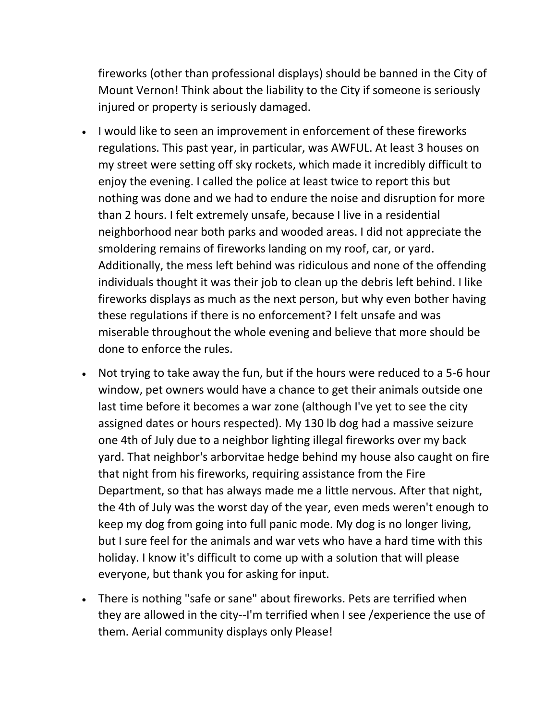fireworks (other than professional displays) should be banned in the City of Mount Vernon! Think about the liability to the City if someone is seriously injured or property is seriously damaged.

- I would like to seen an improvement in enforcement of these fireworks regulations. This past year, in particular, was AWFUL. At least 3 houses on my street were setting off sky rockets, which made it incredibly difficult to enjoy the evening. I called the police at least twice to report this but nothing was done and we had to endure the noise and disruption for more than 2 hours. I felt extremely unsafe, because I live in a residential neighborhood near both parks and wooded areas. I did not appreciate the smoldering remains of fireworks landing on my roof, car, or yard. Additionally, the mess left behind was ridiculous and none of the offending individuals thought it was their job to clean up the debris left behind. I like fireworks displays as much as the next person, but why even bother having these regulations if there is no enforcement? I felt unsafe and was miserable throughout the whole evening and believe that more should be done to enforce the rules.
- Not trying to take away the fun, but if the hours were reduced to a 5-6 hour window, pet owners would have a chance to get their animals outside one last time before it becomes a war zone (although I've yet to see the city assigned dates or hours respected). My 130 lb dog had a massive seizure one 4th of July due to a neighbor lighting illegal fireworks over my back yard. That neighbor's arborvitae hedge behind my house also caught on fire that night from his fireworks, requiring assistance from the Fire Department, so that has always made me a little nervous. After that night, the 4th of July was the worst day of the year, even meds weren't enough to keep my dog from going into full panic mode. My dog is no longer living, but I sure feel for the animals and war vets who have a hard time with this holiday. I know it's difficult to come up with a solution that will please everyone, but thank you for asking for input.
- There is nothing "safe or sane" about fireworks. Pets are terrified when they are allowed in the city--I'm terrified when I see /experience the use of them. Aerial community displays only Please!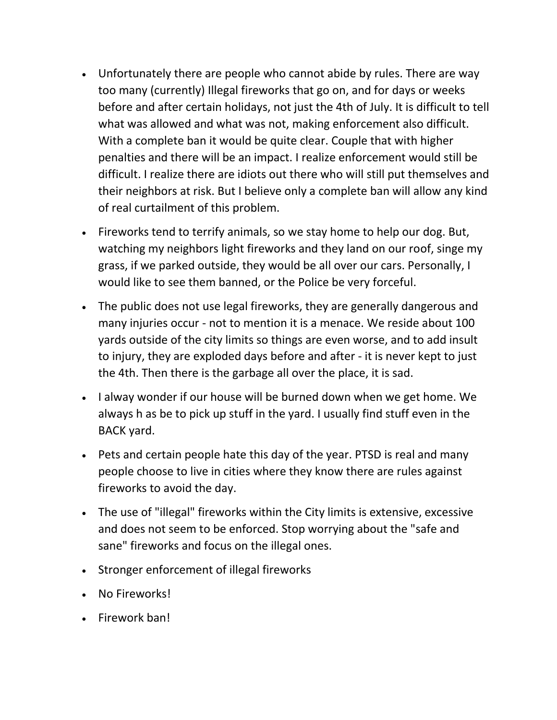- Unfortunately there are people who cannot abide by rules. There are way too many (currently) Illegal fireworks that go on, and for days or weeks before and after certain holidays, not just the 4th of July. It is difficult to tell what was allowed and what was not, making enforcement also difficult. With a complete ban it would be quite clear. Couple that with higher penalties and there will be an impact. I realize enforcement would still be difficult. I realize there are idiots out there who will still put themselves and their neighbors at risk. But I believe only a complete ban will allow any kind of real curtailment of this problem.
- Fireworks tend to terrify animals, so we stay home to help our dog. But, watching my neighbors light fireworks and they land on our roof, singe my grass, if we parked outside, they would be all over our cars. Personally, I would like to see them banned, or the Police be very forceful.
- The public does not use legal fireworks, they are generally dangerous and many injuries occur - not to mention it is a menace. We reside about 100 yards outside of the city limits so things are even worse, and to add insult to injury, they are exploded days before and after - it is never kept to just the 4th. Then there is the garbage all over the place, it is sad.
- I alway wonder if our house will be burned down when we get home. We always h as be to pick up stuff in the yard. I usually find stuff even in the BACK yard.
- Pets and certain people hate this day of the year. PTSD is real and many people choose to live in cities where they know there are rules against fireworks to avoid the day.
- The use of "illegal" fireworks within the City limits is extensive, excessive and does not seem to be enforced. Stop worrying about the "safe and sane" fireworks and focus on the illegal ones.
- Stronger enforcement of illegal fireworks
- No Fireworks!
- Firework ban!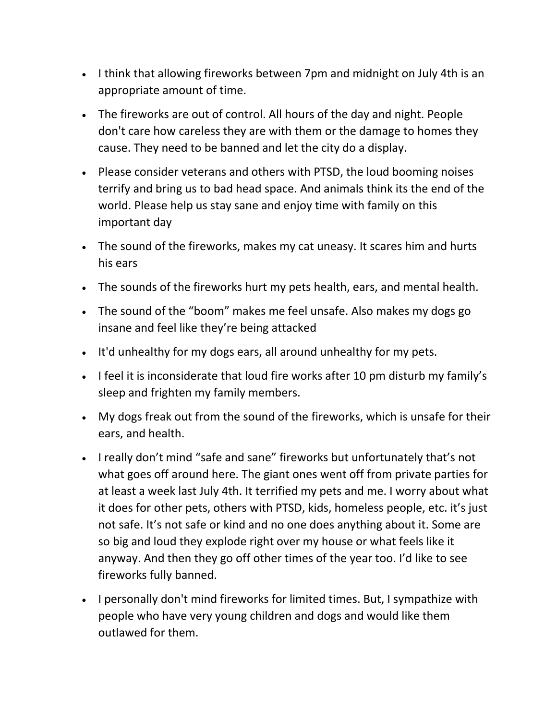- I think that allowing fireworks between 7pm and midnight on July 4th is an appropriate amount of time.
- The fireworks are out of control. All hours of the day and night. People don't care how careless they are with them or the damage to homes they cause. They need to be banned and let the city do a display.
- Please consider veterans and others with PTSD, the loud booming noises terrify and bring us to bad head space. And animals think its the end of the world. Please help us stay sane and enjoy time with family on this important day
- The sound of the fireworks, makes my cat uneasy. It scares him and hurts his ears
- The sounds of the fireworks hurt my pets health, ears, and mental health.
- The sound of the "boom" makes me feel unsafe. Also makes my dogs go insane and feel like they're being attacked
- It'd unhealthy for my dogs ears, all around unhealthy for my pets.
- I feel it is inconsiderate that loud fire works after 10 pm disturb my family's sleep and frighten my family members.
- My dogs freak out from the sound of the fireworks, which is unsafe for their ears, and health.
- I really don't mind "safe and sane" fireworks but unfortunately that's not what goes off around here. The giant ones went off from private parties for at least a week last July 4th. It terrified my pets and me. I worry about what it does for other pets, others with PTSD, kids, homeless people, etc. it's just not safe. It's not safe or kind and no one does anything about it. Some are so big and loud they explode right over my house or what feels like it anyway. And then they go off other times of the year too. I'd like to see fireworks fully banned.
- I personally don't mind fireworks for limited times. But, I sympathize with people who have very young children and dogs and would like them outlawed for them.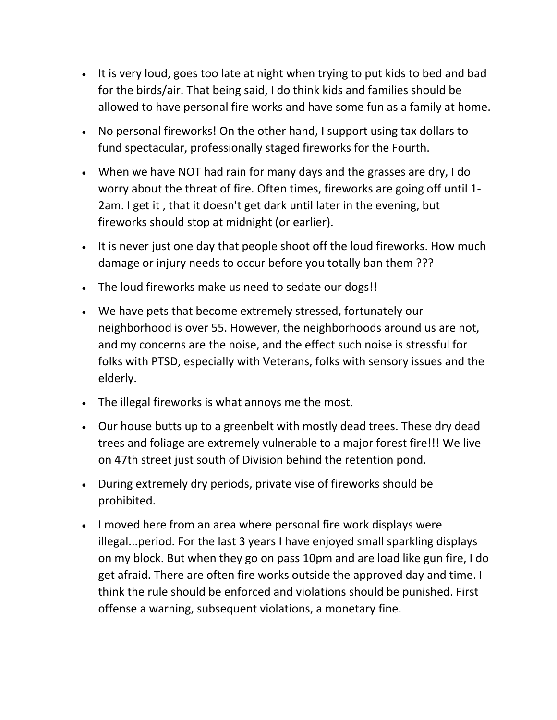- It is very loud, goes too late at night when trying to put kids to bed and bad for the birds/air. That being said, I do think kids and families should be allowed to have personal fire works and have some fun as a family at home.
- No personal fireworks! On the other hand, I support using tax dollars to fund spectacular, professionally staged fireworks for the Fourth.
- When we have NOT had rain for many days and the grasses are dry, I do worry about the threat of fire. Often times, fireworks are going off until 1- 2am. I get it , that it doesn't get dark until later in the evening, but fireworks should stop at midnight (or earlier).
- It is never just one day that people shoot off the loud fireworks. How much damage or injury needs to occur before you totally ban them ???
- The loud fireworks make us need to sedate our dogs!!
- We have pets that become extremely stressed, fortunately our neighborhood is over 55. However, the neighborhoods around us are not, and my concerns are the noise, and the effect such noise is stressful for folks with PTSD, especially with Veterans, folks with sensory issues and the elderly.
- The illegal fireworks is what annoys me the most.
- Our house butts up to a greenbelt with mostly dead trees. These dry dead trees and foliage are extremely vulnerable to a major forest fire!!! We live on 47th street just south of Division behind the retention pond.
- During extremely dry periods, private vise of fireworks should be prohibited.
- I moved here from an area where personal fire work displays were illegal...period. For the last 3 years I have enjoyed small sparkling displays on my block. But when they go on pass 10pm and are load like gun fire, I do get afraid. There are often fire works outside the approved day and time. I think the rule should be enforced and violations should be punished. First offense a warning, subsequent violations, a monetary fine.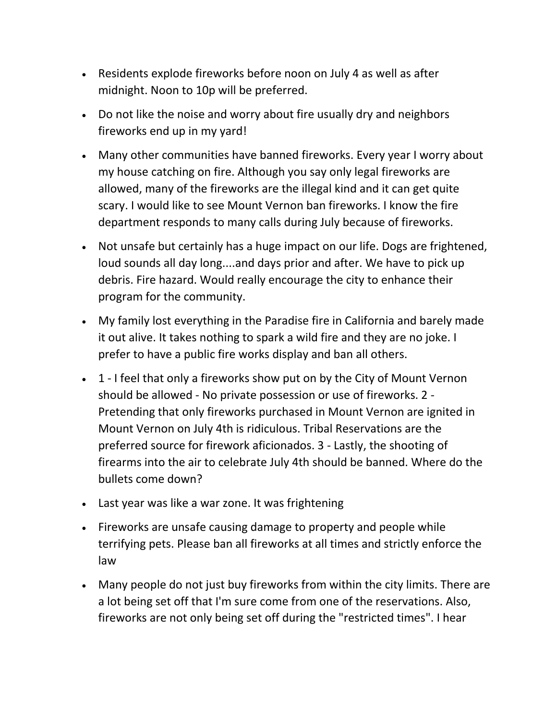- Residents explode fireworks before noon on July 4 as well as after midnight. Noon to 10p will be preferred.
- Do not like the noise and worry about fire usually dry and neighbors fireworks end up in my yard!
- Many other communities have banned fireworks. Every year I worry about my house catching on fire. Although you say only legal fireworks are allowed, many of the fireworks are the illegal kind and it can get quite scary. I would like to see Mount Vernon ban fireworks. I know the fire department responds to many calls during July because of fireworks.
- Not unsafe but certainly has a huge impact on our life. Dogs are frightened, loud sounds all day long....and days prior and after. We have to pick up debris. Fire hazard. Would really encourage the city to enhance their program for the community.
- My family lost everything in the Paradise fire in California and barely made it out alive. It takes nothing to spark a wild fire and they are no joke. I prefer to have a public fire works display and ban all others.
- 1 I feel that only a fireworks show put on by the City of Mount Vernon should be allowed - No private possession or use of fireworks. 2 - Pretending that only fireworks purchased in Mount Vernon are ignited in Mount Vernon on July 4th is ridiculous. Tribal Reservations are the preferred source for firework aficionados. 3 - Lastly, the shooting of firearms into the air to celebrate July 4th should be banned. Where do the bullets come down?
- Last year was like a war zone. It was frightening
- Fireworks are unsafe causing damage to property and people while terrifying pets. Please ban all fireworks at all times and strictly enforce the law
- Many people do not just buy fireworks from within the city limits. There are a lot being set off that I'm sure come from one of the reservations. Also, fireworks are not only being set off during the "restricted times". I hear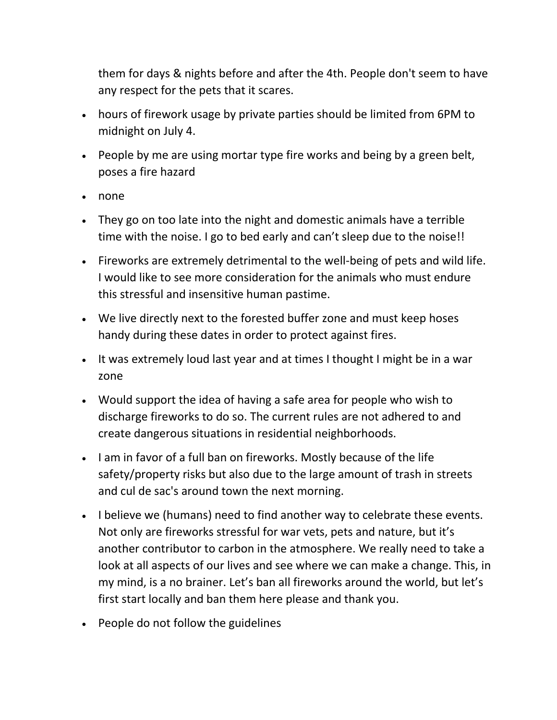them for days & nights before and after the 4th. People don't seem to have any respect for the pets that it scares.

- hours of firework usage by private parties should be limited from 6PM to midnight on July 4.
- People by me are using mortar type fire works and being by a green belt, poses a fire hazard
- none
- They go on too late into the night and domestic animals have a terrible time with the noise. I go to bed early and can't sleep due to the noise!!
- Fireworks are extremely detrimental to the well-being of pets and wild life. I would like to see more consideration for the animals who must endure this stressful and insensitive human pastime.
- We live directly next to the forested buffer zone and must keep hoses handy during these dates in order to protect against fires.
- It was extremely loud last year and at times I thought I might be in a war zone
- Would support the idea of having a safe area for people who wish to discharge fireworks to do so. The current rules are not adhered to and create dangerous situations in residential neighborhoods.
- I am in favor of a full ban on fireworks. Mostly because of the life safety/property risks but also due to the large amount of trash in streets and cul de sac's around town the next morning.
- I believe we (humans) need to find another way to celebrate these events. Not only are fireworks stressful for war vets, pets and nature, but it's another contributor to carbon in the atmosphere. We really need to take a look at all aspects of our lives and see where we can make a change. This, in my mind, is a no brainer. Let's ban all fireworks around the world, but let's first start locally and ban them here please and thank you.
- People do not follow the guidelines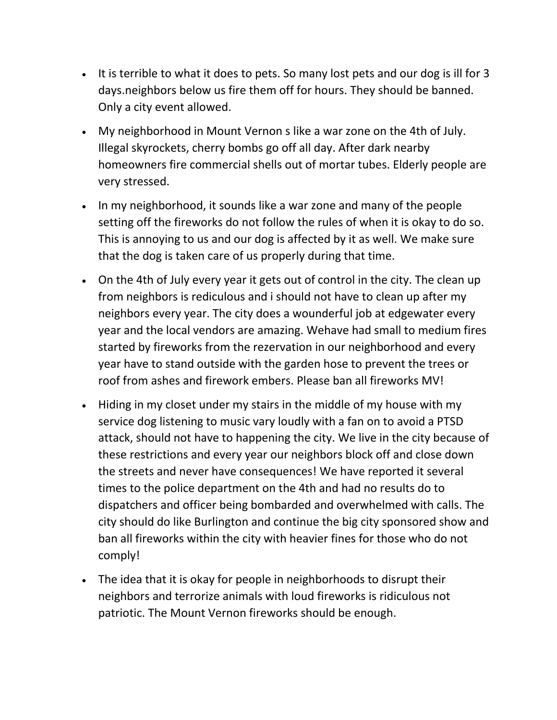- It is terrible to what it does to pets. So many lost pets and our dog is ill for 3 days.neighbors below us fire them off for hours. They should be banned. Only a city event allowed.
- My neighborhood in Mount Vernon s like a war zone on the 4th of July. Illegal skyrockets, cherry bombs go off all day. After dark nearby homeowners fire commercial shells out of mortar tubes. Elderly people are very stressed.
- In my neighborhood, it sounds like a war zone and many of the people setting off the fireworks do not follow the rules of when it is okay to do so. This is annoying to us and our dog is affected by it as well. We make sure that the dog is taken care of us properly during that time.
- On the 4th of July every year it gets out of control in the city. The clean up from neighbors is rediculous and i should not have to clean up after my neighbors every year. The city does a wounderful job at edgewater every year and the local vendors are amazing. Wehave had small to medium fires started by fireworks from the rezervation in our neighborhood and every year have to stand outside with the garden hose to prevent the trees or roof from ashes and firework embers. Please ban all fireworks MV!
- Hiding in my closet under my stairs in the middle of my house with my service dog listening to music vary loudly with a fan on to avoid a PTSD attack, should not have to happening the city. We live in the city because of these restrictions and every year our neighbors block off and close down the streets and never have consequences! We have reported it several times to the police department on the 4th and had no results do to dispatchers and officer being bombarded and overwhelmed with calls. The city should do like Burlington and continue the big city sponsored show and ban all fireworks within the city with heavier fines for those who do not comply!
- The idea that it is okay for people in neighborhoods to disrupt their neighbors and terrorize animals with loud fireworks is ridiculous not patriotic. The Mount Vernon fireworks should be enough.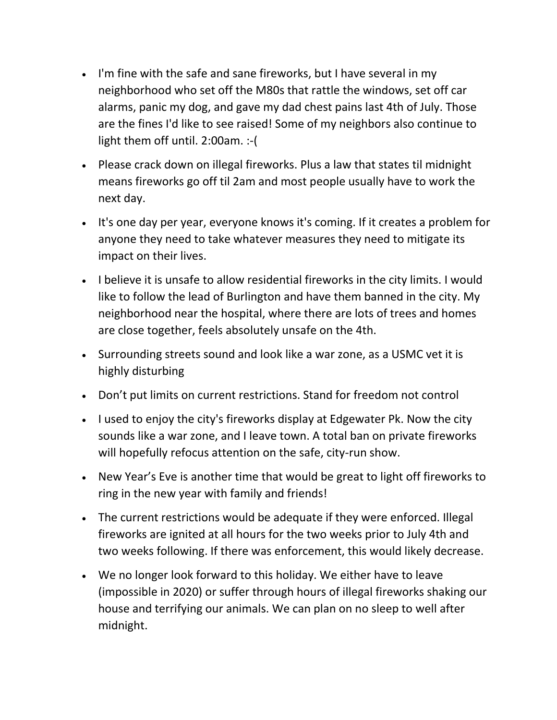- I'm fine with the safe and sane fireworks, but I have several in my neighborhood who set off the M80s that rattle the windows, set off car alarms, panic my dog, and gave my dad chest pains last 4th of July. Those are the fines I'd like to see raised! Some of my neighbors also continue to light them off until. 2:00am. :-(
- Please crack down on illegal fireworks. Plus a law that states til midnight means fireworks go off til 2am and most people usually have to work the next day.
- It's one day per year, everyone knows it's coming. If it creates a problem for anyone they need to take whatever measures they need to mitigate its impact on their lives.
- I believe it is unsafe to allow residential fireworks in the city limits. I would like to follow the lead of Burlington and have them banned in the city. My neighborhood near the hospital, where there are lots of trees and homes are close together, feels absolutely unsafe on the 4th.
- Surrounding streets sound and look like a war zone, as a USMC vet it is highly disturbing
- Don't put limits on current restrictions. Stand for freedom not control
- I used to enjoy the city's fireworks display at Edgewater Pk. Now the city sounds like a war zone, and I leave town. A total ban on private fireworks will hopefully refocus attention on the safe, city-run show.
- New Year's Eve is another time that would be great to light off fireworks to ring in the new year with family and friends!
- The current restrictions would be adequate if they were enforced. Illegal fireworks are ignited at all hours for the two weeks prior to July 4th and two weeks following. If there was enforcement, this would likely decrease.
- We no longer look forward to this holiday. We either have to leave (impossible in 2020) or suffer through hours of illegal fireworks shaking our house and terrifying our animals. We can plan on no sleep to well after midnight.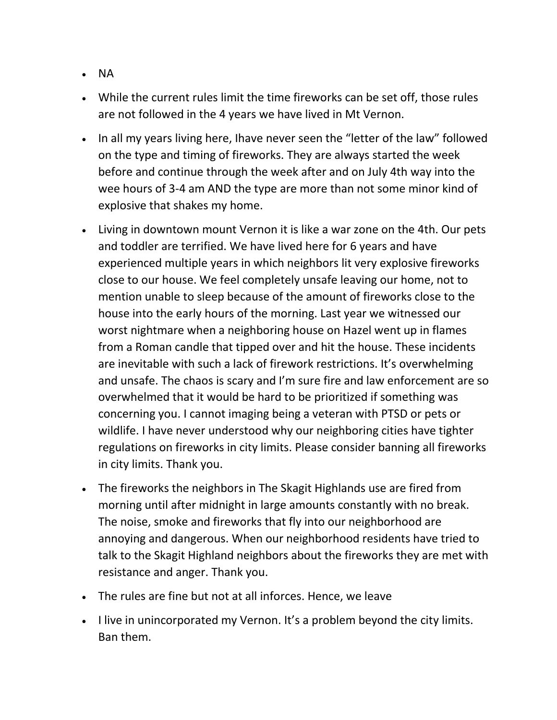- NA
- While the current rules limit the time fireworks can be set off, those rules are not followed in the 4 years we have lived in Mt Vernon.
- In all my years living here, Ihave never seen the "letter of the law" followed on the type and timing of fireworks. They are always started the week before and continue through the week after and on July 4th way into the wee hours of 3-4 am AND the type are more than not some minor kind of explosive that shakes my home.
- Living in downtown mount Vernon it is like a war zone on the 4th. Our pets and toddler are terrified. We have lived here for 6 years and have experienced multiple years in which neighbors lit very explosive fireworks close to our house. We feel completely unsafe leaving our home, not to mention unable to sleep because of the amount of fireworks close to the house into the early hours of the morning. Last year we witnessed our worst nightmare when a neighboring house on Hazel went up in flames from a Roman candle that tipped over and hit the house. These incidents are inevitable with such a lack of firework restrictions. It's overwhelming and unsafe. The chaos is scary and I'm sure fire and law enforcement are so overwhelmed that it would be hard to be prioritized if something was concerning you. I cannot imaging being a veteran with PTSD or pets or wildlife. I have never understood why our neighboring cities have tighter regulations on fireworks in city limits. Please consider banning all fireworks in city limits. Thank you.
- The fireworks the neighbors in The Skagit Highlands use are fired from morning until after midnight in large amounts constantly with no break. The noise, smoke and fireworks that fly into our neighborhood are annoying and dangerous. When our neighborhood residents have tried to talk to the Skagit Highland neighbors about the fireworks they are met with resistance and anger. Thank you.
- The rules are fine but not at all inforces. Hence, we leave
- I live in unincorporated my Vernon. It's a problem beyond the city limits. Ban them.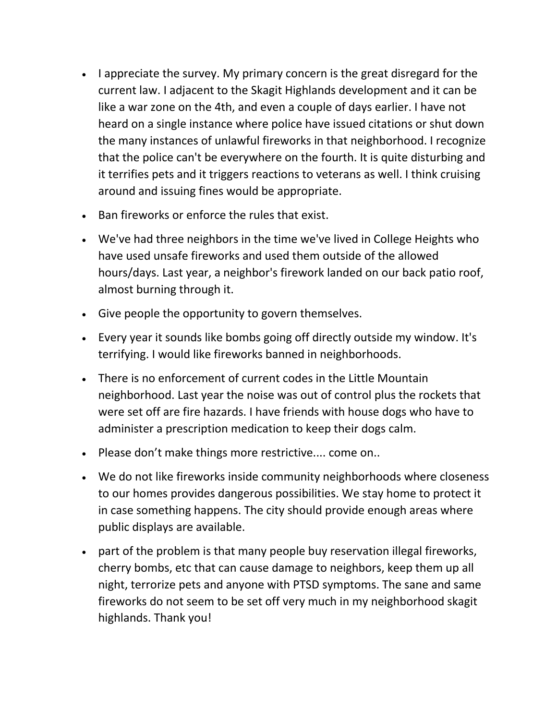- I appreciate the survey. My primary concern is the great disregard for the current law. I adjacent to the Skagit Highlands development and it can be like a war zone on the 4th, and even a couple of days earlier. I have not heard on a single instance where police have issued citations or shut down the many instances of unlawful fireworks in that neighborhood. I recognize that the police can't be everywhere on the fourth. It is quite disturbing and it terrifies pets and it triggers reactions to veterans as well. I think cruising around and issuing fines would be appropriate.
- Ban fireworks or enforce the rules that exist.
- We've had three neighbors in the time we've lived in College Heights who have used unsafe fireworks and used them outside of the allowed hours/days. Last year, a neighbor's firework landed on our back patio roof, almost burning through it.
- Give people the opportunity to govern themselves.
- Every year it sounds like bombs going off directly outside my window. It's terrifying. I would like fireworks banned in neighborhoods.
- There is no enforcement of current codes in the Little Mountain neighborhood. Last year the noise was out of control plus the rockets that were set off are fire hazards. I have friends with house dogs who have to administer a prescription medication to keep their dogs calm.
- Please don't make things more restrictive.... come on..
- We do not like fireworks inside community neighborhoods where closeness to our homes provides dangerous possibilities. We stay home to protect it in case something happens. The city should provide enough areas where public displays are available.
- part of the problem is that many people buy reservation illegal fireworks, cherry bombs, etc that can cause damage to neighbors, keep them up all night, terrorize pets and anyone with PTSD symptoms. The sane and same fireworks do not seem to be set off very much in my neighborhood skagit highlands. Thank you!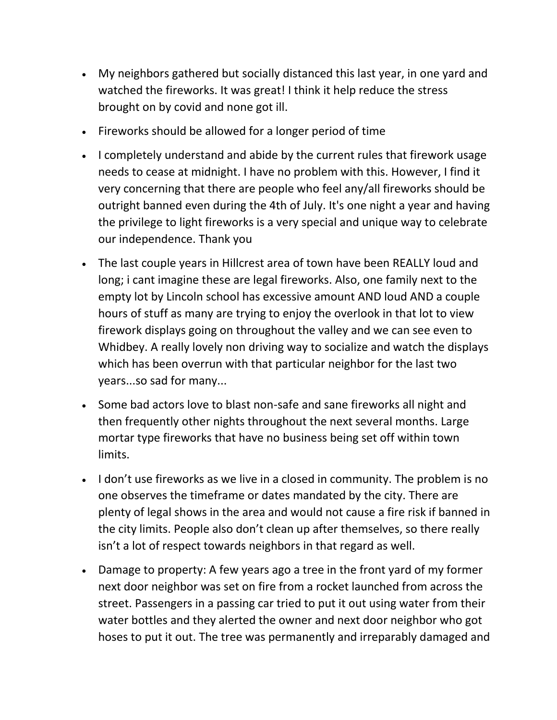- My neighbors gathered but socially distanced this last year, in one yard and watched the fireworks. It was great! I think it help reduce the stress brought on by covid and none got ill.
- Fireworks should be allowed for a longer period of time
- I completely understand and abide by the current rules that firework usage needs to cease at midnight. I have no problem with this. However, I find it very concerning that there are people who feel any/all fireworks should be outright banned even during the 4th of July. It's one night a year and having the privilege to light fireworks is a very special and unique way to celebrate our independence. Thank you
- The last couple years in Hillcrest area of town have been REALLY loud and long; i cant imagine these are legal fireworks. Also, one family next to the empty lot by Lincoln school has excessive amount AND loud AND a couple hours of stuff as many are trying to enjoy the overlook in that lot to view firework displays going on throughout the valley and we can see even to Whidbey. A really lovely non driving way to socialize and watch the displays which has been overrun with that particular neighbor for the last two years...so sad for many...
- Some bad actors love to blast non-safe and sane fireworks all night and then frequently other nights throughout the next several months. Large mortar type fireworks that have no business being set off within town limits.
- I don't use fireworks as we live in a closed in community. The problem is no one observes the timeframe or dates mandated by the city. There are plenty of legal shows in the area and would not cause a fire risk if banned in the city limits. People also don't clean up after themselves, so there really isn't a lot of respect towards neighbors in that regard as well.
- Damage to property: A few years ago a tree in the front yard of my former next door neighbor was set on fire from a rocket launched from across the street. Passengers in a passing car tried to put it out using water from their water bottles and they alerted the owner and next door neighbor who got hoses to put it out. The tree was permanently and irreparably damaged and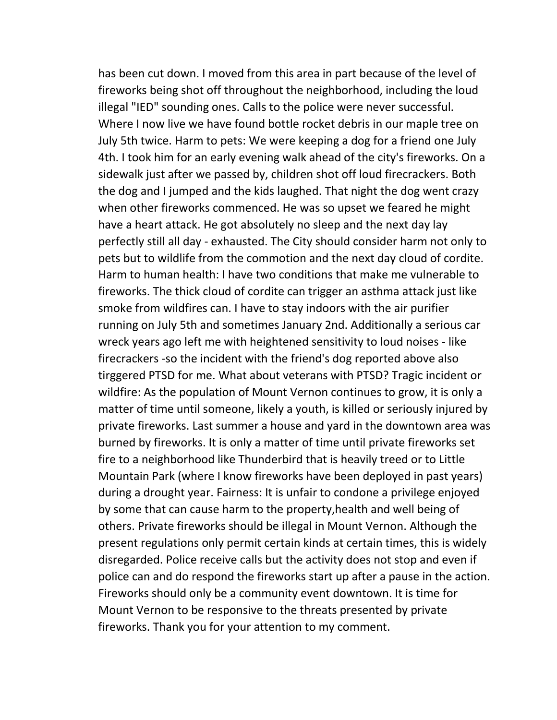has been cut down. I moved from this area in part because of the level of fireworks being shot off throughout the neighborhood, including the loud illegal "IED" sounding ones. Calls to the police were never successful. Where I now live we have found bottle rocket debris in our maple tree on July 5th twice. Harm to pets: We were keeping a dog for a friend one July 4th. I took him for an early evening walk ahead of the city's fireworks. On a sidewalk just after we passed by, children shot off loud firecrackers. Both the dog and I jumped and the kids laughed. That night the dog went crazy when other fireworks commenced. He was so upset we feared he might have a heart attack. He got absolutely no sleep and the next day lay perfectly still all day - exhausted. The City should consider harm not only to pets but to wildlife from the commotion and the next day cloud of cordite. Harm to human health: I have two conditions that make me vulnerable to fireworks. The thick cloud of cordite can trigger an asthma attack just like smoke from wildfires can. I have to stay indoors with the air purifier running on July 5th and sometimes January 2nd. Additionally a serious car wreck years ago left me with heightened sensitivity to loud noises - like firecrackers -so the incident with the friend's dog reported above also tirggered PTSD for me. What about veterans with PTSD? Tragic incident or wildfire: As the population of Mount Vernon continues to grow, it is only a matter of time until someone, likely a youth, is killed or seriously injured by private fireworks. Last summer a house and yard in the downtown area was burned by fireworks. It is only a matter of time until private fireworks set fire to a neighborhood like Thunderbird that is heavily treed or to Little Mountain Park (where I know fireworks have been deployed in past years) during a drought year. Fairness: It is unfair to condone a privilege enjoyed by some that can cause harm to the property,health and well being of others. Private fireworks should be illegal in Mount Vernon. Although the present regulations only permit certain kinds at certain times, this is widely disregarded. Police receive calls but the activity does not stop and even if police can and do respond the fireworks start up after a pause in the action. Fireworks should only be a community event downtown. It is time for Mount Vernon to be responsive to the threats presented by private fireworks. Thank you for your attention to my comment.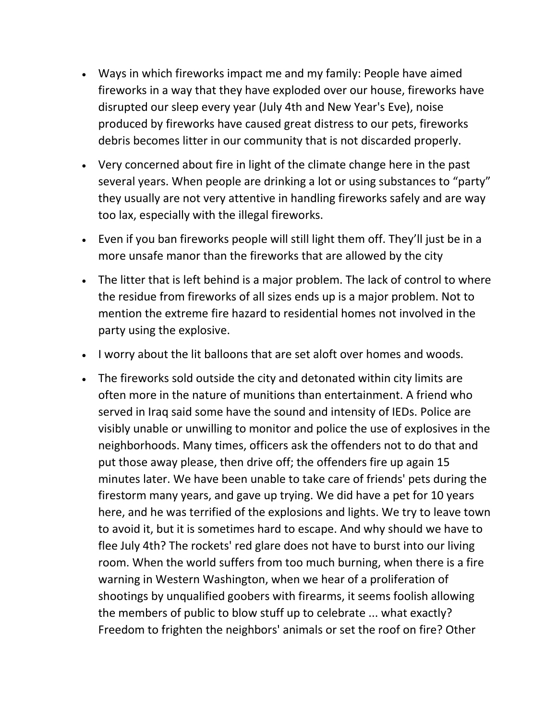- Ways in which fireworks impact me and my family: People have aimed fireworks in a way that they have exploded over our house, fireworks have disrupted our sleep every year (July 4th and New Year's Eve), noise produced by fireworks have caused great distress to our pets, fireworks debris becomes litter in our community that is not discarded properly.
- Very concerned about fire in light of the climate change here in the past several years. When people are drinking a lot or using substances to "party" they usually are not very attentive in handling fireworks safely and are way too lax, especially with the illegal fireworks.
- Even if you ban fireworks people will still light them off. They'll just be in a more unsafe manor than the fireworks that are allowed by the city
- The litter that is left behind is a major problem. The lack of control to where the residue from fireworks of all sizes ends up is a major problem. Not to mention the extreme fire hazard to residential homes not involved in the party using the explosive.
- I worry about the lit balloons that are set aloft over homes and woods.
- The fireworks sold outside the city and detonated within city limits are often more in the nature of munitions than entertainment. A friend who served in Iraq said some have the sound and intensity of IEDs. Police are visibly unable or unwilling to monitor and police the use of explosives in the neighborhoods. Many times, officers ask the offenders not to do that and put those away please, then drive off; the offenders fire up again 15 minutes later. We have been unable to take care of friends' pets during the firestorm many years, and gave up trying. We did have a pet for 10 years here, and he was terrified of the explosions and lights. We try to leave town to avoid it, but it is sometimes hard to escape. And why should we have to flee July 4th? The rockets' red glare does not have to burst into our living room. When the world suffers from too much burning, when there is a fire warning in Western Washington, when we hear of a proliferation of shootings by unqualified goobers with firearms, it seems foolish allowing the members of public to blow stuff up to celebrate ... what exactly? Freedom to frighten the neighbors' animals or set the roof on fire? Other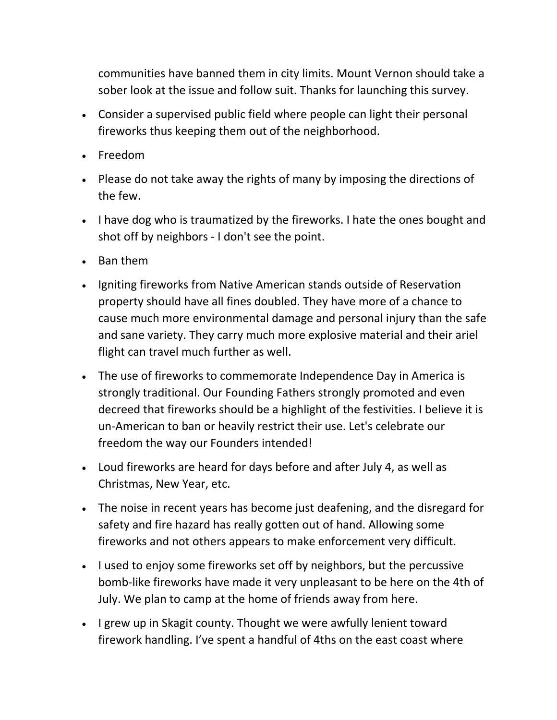communities have banned them in city limits. Mount Vernon should take a sober look at the issue and follow suit. Thanks for launching this survey.

- Consider a supervised public field where people can light their personal fireworks thus keeping them out of the neighborhood.
- Freedom
- Please do not take away the rights of many by imposing the directions of the few.
- I have dog who is traumatized by the fireworks. I hate the ones bought and shot off by neighbors - I don't see the point.
- Ban them
- Igniting fireworks from Native American stands outside of Reservation property should have all fines doubled. They have more of a chance to cause much more environmental damage and personal injury than the safe and sane variety. They carry much more explosive material and their ariel flight can travel much further as well.
- The use of fireworks to commemorate Independence Day in America is strongly traditional. Our Founding Fathers strongly promoted and even decreed that fireworks should be a highlight of the festivities. I believe it is un-American to ban or heavily restrict their use. Let's celebrate our freedom the way our Founders intended!
- Loud fireworks are heard for days before and after July 4, as well as Christmas, New Year, etc.
- The noise in recent years has become just deafening, and the disregard for safety and fire hazard has really gotten out of hand. Allowing some fireworks and not others appears to make enforcement very difficult.
- I used to enjoy some fireworks set off by neighbors, but the percussive bomb-like fireworks have made it very unpleasant to be here on the 4th of July. We plan to camp at the home of friends away from here.
- I grew up in Skagit county. Thought we were awfully lenient toward firework handling. I've spent a handful of 4ths on the east coast where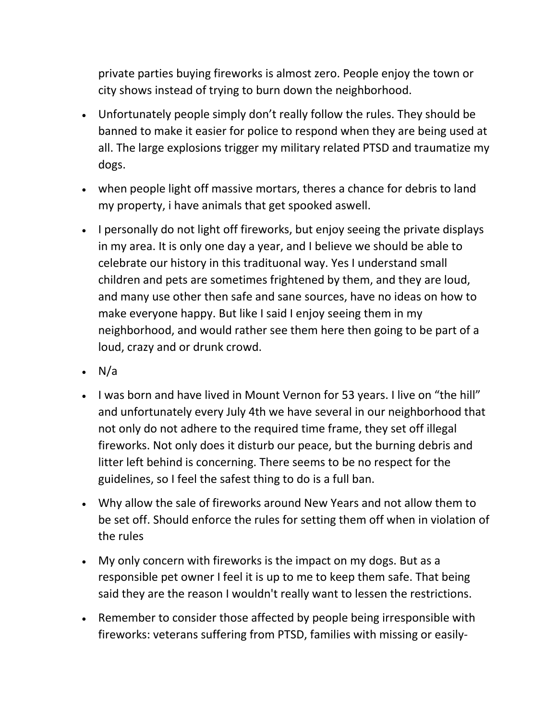private parties buying fireworks is almost zero. People enjoy the town or city shows instead of trying to burn down the neighborhood.

- Unfortunately people simply don't really follow the rules. They should be banned to make it easier for police to respond when they are being used at all. The large explosions trigger my military related PTSD and traumatize my dogs.
- when people light off massive mortars, theres a chance for debris to land my property, i have animals that get spooked aswell.
- I personally do not light off fireworks, but enjoy seeing the private displays in my area. It is only one day a year, and I believe we should be able to celebrate our history in this tradituonal way. Yes I understand small children and pets are sometimes frightened by them, and they are loud, and many use other then safe and sane sources, have no ideas on how to make everyone happy. But like I said I enjoy seeing them in my neighborhood, and would rather see them here then going to be part of a loud, crazy and or drunk crowd.
- $\cdot$  N/a
- I was born and have lived in Mount Vernon for 53 years. I live on "the hill" and unfortunately every July 4th we have several in our neighborhood that not only do not adhere to the required time frame, they set off illegal fireworks. Not only does it disturb our peace, but the burning debris and litter left behind is concerning. There seems to be no respect for the guidelines, so I feel the safest thing to do is a full ban.
- Why allow the sale of fireworks around New Years and not allow them to be set off. Should enforce the rules for setting them off when in violation of the rules
- My only concern with fireworks is the impact on my dogs. But as a responsible pet owner I feel it is up to me to keep them safe. That being said they are the reason I wouldn't really want to lessen the restrictions.
- Remember to consider those affected by people being irresponsible with fireworks: veterans suffering from PTSD, families with missing or easily-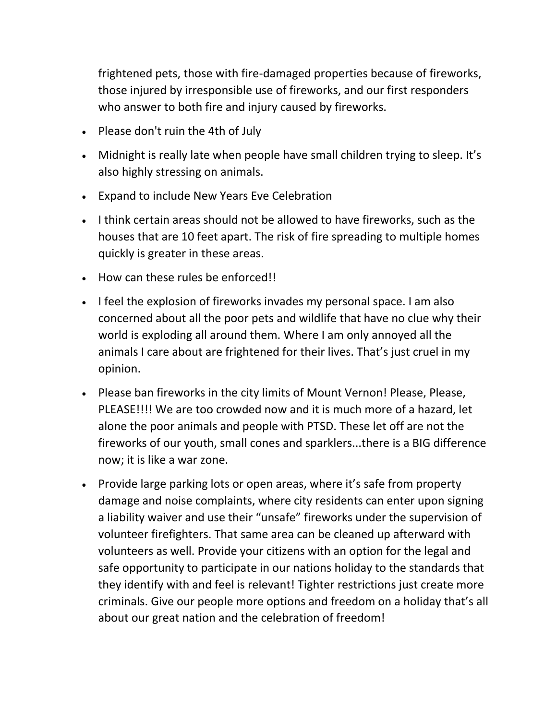frightened pets, those with fire-damaged properties because of fireworks, those injured by irresponsible use of fireworks, and our first responders who answer to both fire and injury caused by fireworks.

- Please don't ruin the 4th of July
- Midnight is really late when people have small children trying to sleep. It's also highly stressing on animals.
- Expand to include New Years Eve Celebration
- I think certain areas should not be allowed to have fireworks, such as the houses that are 10 feet apart. The risk of fire spreading to multiple homes quickly is greater in these areas.
- How can these rules be enforced!!
- I feel the explosion of fireworks invades my personal space. I am also concerned about all the poor pets and wildlife that have no clue why their world is exploding all around them. Where I am only annoyed all the animals I care about are frightened for their lives. That's just cruel in my opinion.
- Please ban fireworks in the city limits of Mount Vernon! Please, Please, PLEASE!!!! We are too crowded now and it is much more of a hazard, let alone the poor animals and people with PTSD. These let off are not the fireworks of our youth, small cones and sparklers...there is a BIG difference now; it is like a war zone.
- Provide large parking lots or open areas, where it's safe from property damage and noise complaints, where city residents can enter upon signing a liability waiver and use their "unsafe" fireworks under the supervision of volunteer firefighters. That same area can be cleaned up afterward with volunteers as well. Provide your citizens with an option for the legal and safe opportunity to participate in our nations holiday to the standards that they identify with and feel is relevant! Tighter restrictions just create more criminals. Give our people more options and freedom on a holiday that's all about our great nation and the celebration of freedom!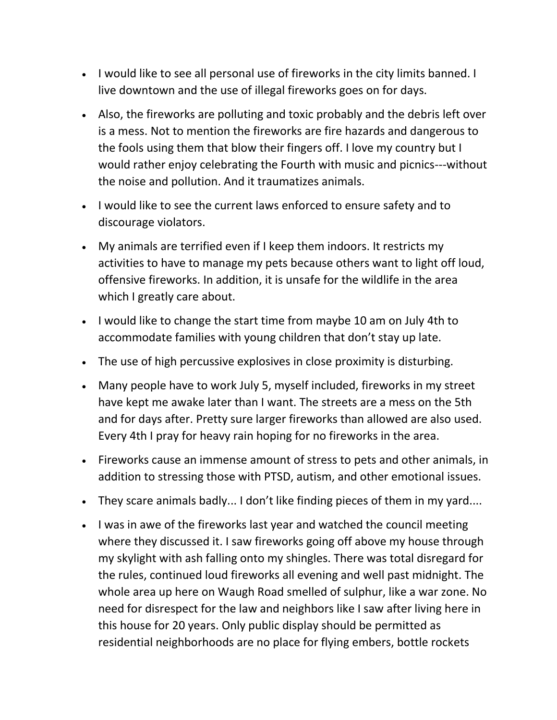- I would like to see all personal use of fireworks in the city limits banned. I live downtown and the use of illegal fireworks goes on for days.
- Also, the fireworks are polluting and toxic probably and the debris left over is a mess. Not to mention the fireworks are fire hazards and dangerous to the fools using them that blow their fingers off. I love my country but I would rather enjoy celebrating the Fourth with music and picnics---without the noise and pollution. And it traumatizes animals.
- I would like to see the current laws enforced to ensure safety and to discourage violators.
- My animals are terrified even if I keep them indoors. It restricts my activities to have to manage my pets because others want to light off loud, offensive fireworks. In addition, it is unsafe for the wildlife in the area which I greatly care about.
- I would like to change the start time from maybe 10 am on July 4th to accommodate families with young children that don't stay up late.
- The use of high percussive explosives in close proximity is disturbing.
- Many people have to work July 5, myself included, fireworks in my street have kept me awake later than I want. The streets are a mess on the 5th and for days after. Pretty sure larger fireworks than allowed are also used. Every 4th I pray for heavy rain hoping for no fireworks in the area.
- Fireworks cause an immense amount of stress to pets and other animals, in addition to stressing those with PTSD, autism, and other emotional issues.
- They scare animals badly... I don't like finding pieces of them in my yard....
- I was in awe of the fireworks last year and watched the council meeting where they discussed it. I saw fireworks going off above my house through my skylight with ash falling onto my shingles. There was total disregard for the rules, continued loud fireworks all evening and well past midnight. The whole area up here on Waugh Road smelled of sulphur, like a war zone. No need for disrespect for the law and neighbors like I saw after living here in this house for 20 years. Only public display should be permitted as residential neighborhoods are no place for flying embers, bottle rockets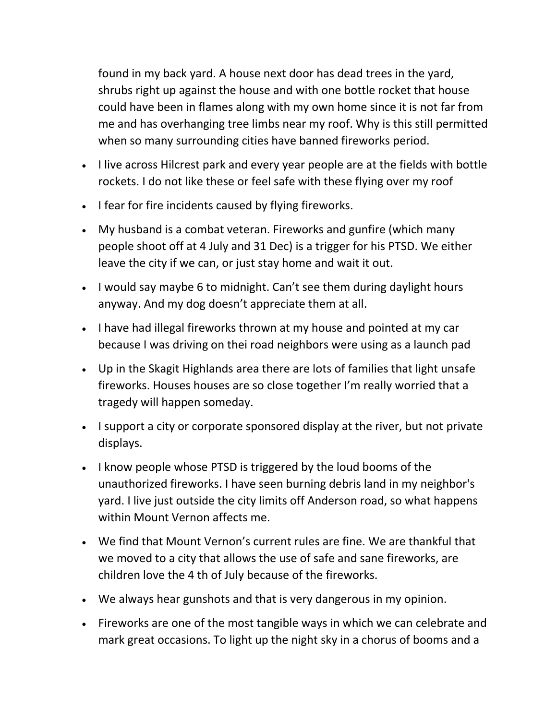found in my back yard. A house next door has dead trees in the yard, shrubs right up against the house and with one bottle rocket that house could have been in flames along with my own home since it is not far from me and has overhanging tree limbs near my roof. Why is this still permitted when so many surrounding cities have banned fireworks period.

- I live across Hilcrest park and every year people are at the fields with bottle rockets. I do not like these or feel safe with these flying over my roof
- I fear for fire incidents caused by flying fireworks.
- My husband is a combat veteran. Fireworks and gunfire (which many people shoot off at 4 July and 31 Dec) is a trigger for his PTSD. We either leave the city if we can, or just stay home and wait it out.
- I would say maybe 6 to midnight. Can't see them during daylight hours anyway. And my dog doesn't appreciate them at all.
- I have had illegal fireworks thrown at my house and pointed at my car because I was driving on thei road neighbors were using as a launch pad
- Up in the Skagit Highlands area there are lots of families that light unsafe fireworks. Houses houses are so close together I'm really worried that a tragedy will happen someday.
- I support a city or corporate sponsored display at the river, but not private displays.
- I know people whose PTSD is triggered by the loud booms of the unauthorized fireworks. I have seen burning debris land in my neighbor's yard. I live just outside the city limits off Anderson road, so what happens within Mount Vernon affects me.
- We find that Mount Vernon's current rules are fine. We are thankful that we moved to a city that allows the use of safe and sane fireworks, are children love the 4 th of July because of the fireworks.
- We always hear gunshots and that is very dangerous in my opinion.
- Fireworks are one of the most tangible ways in which we can celebrate and mark great occasions. To light up the night sky in a chorus of booms and a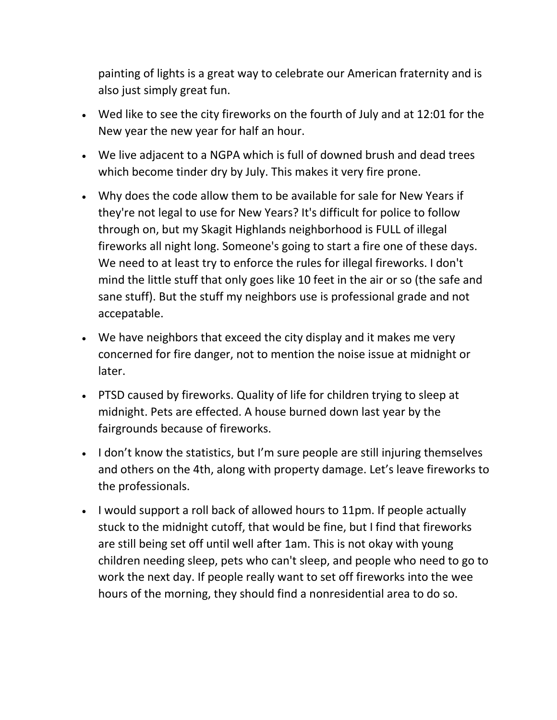painting of lights is a great way to celebrate our American fraternity and is also just simply great fun.

- Wed like to see the city fireworks on the fourth of July and at 12:01 for the New year the new year for half an hour.
- We live adjacent to a NGPA which is full of downed brush and dead trees which become tinder dry by July. This makes it very fire prone.
- Why does the code allow them to be available for sale for New Years if they're not legal to use for New Years? It's difficult for police to follow through on, but my Skagit Highlands neighborhood is FULL of illegal fireworks all night long. Someone's going to start a fire one of these days. We need to at least try to enforce the rules for illegal fireworks. I don't mind the little stuff that only goes like 10 feet in the air or so (the safe and sane stuff). But the stuff my neighbors use is professional grade and not accepatable.
- We have neighbors that exceed the city display and it makes me very concerned for fire danger, not to mention the noise issue at midnight or later.
- PTSD caused by fireworks. Quality of life for children trying to sleep at midnight. Pets are effected. A house burned down last year by the fairgrounds because of fireworks.
- I don't know the statistics, but I'm sure people are still injuring themselves and others on the 4th, along with property damage. Let's leave fireworks to the professionals.
- I would support a roll back of allowed hours to 11pm. If people actually stuck to the midnight cutoff, that would be fine, but I find that fireworks are still being set off until well after 1am. This is not okay with young children needing sleep, pets who can't sleep, and people who need to go to work the next day. If people really want to set off fireworks into the wee hours of the morning, they should find a nonresidential area to do so.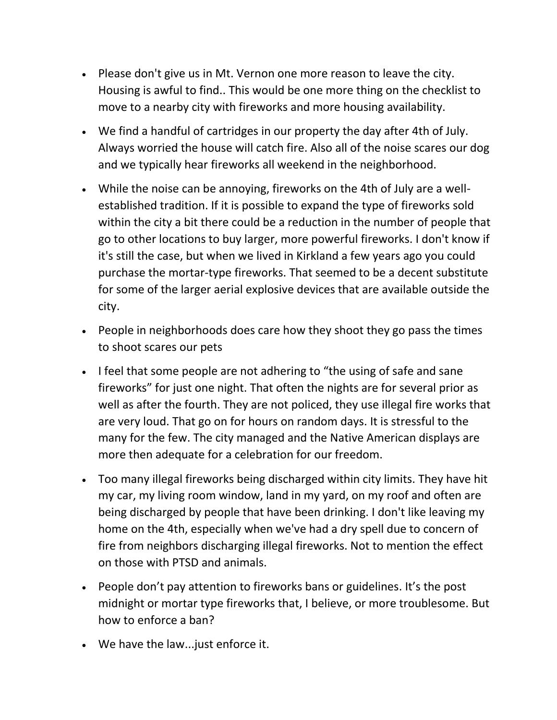- Please don't give us in Mt. Vernon one more reason to leave the city. Housing is awful to find.. This would be one more thing on the checklist to move to a nearby city with fireworks and more housing availability.
- We find a handful of cartridges in our property the day after 4th of July. Always worried the house will catch fire. Also all of the noise scares our dog and we typically hear fireworks all weekend in the neighborhood.
- While the noise can be annoying, fireworks on the 4th of July are a wellestablished tradition. If it is possible to expand the type of fireworks sold within the city a bit there could be a reduction in the number of people that go to other locations to buy larger, more powerful fireworks. I don't know if it's still the case, but when we lived in Kirkland a few years ago you could purchase the mortar-type fireworks. That seemed to be a decent substitute for some of the larger aerial explosive devices that are available outside the city.
- People in neighborhoods does care how they shoot they go pass the times to shoot scares our pets
- I feel that some people are not adhering to "the using of safe and sane fireworks" for just one night. That often the nights are for several prior as well as after the fourth. They are not policed, they use illegal fire works that are very loud. That go on for hours on random days. It is stressful to the many for the few. The city managed and the Native American displays are more then adequate for a celebration for our freedom.
- Too many illegal fireworks being discharged within city limits. They have hit my car, my living room window, land in my yard, on my roof and often are being discharged by people that have been drinking. I don't like leaving my home on the 4th, especially when we've had a dry spell due to concern of fire from neighbors discharging illegal fireworks. Not to mention the effect on those with PTSD and animals.
- People don't pay attention to fireworks bans or guidelines. It's the post midnight or mortar type fireworks that, I believe, or more troublesome. But how to enforce a ban?
- We have the law...just enforce it.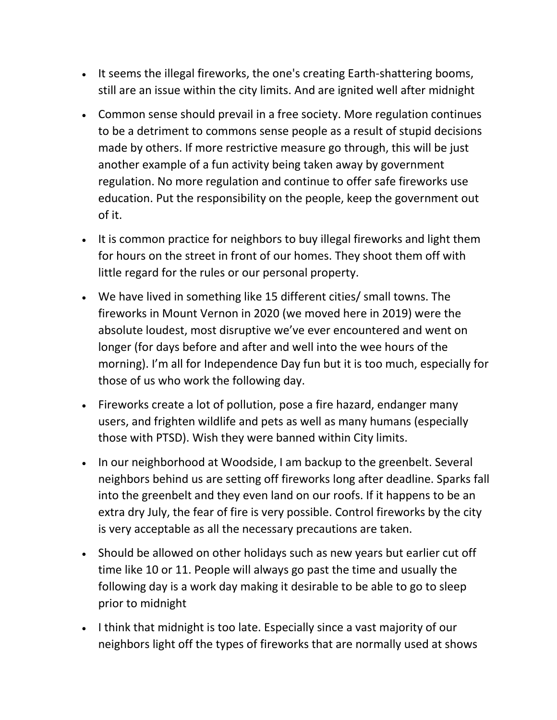- It seems the illegal fireworks, the one's creating Earth-shattering booms, still are an issue within the city limits. And are ignited well after midnight
- Common sense should prevail in a free society. More regulation continues to be a detriment to commons sense people as a result of stupid decisions made by others. If more restrictive measure go through, this will be just another example of a fun activity being taken away by government regulation. No more regulation and continue to offer safe fireworks use education. Put the responsibility on the people, keep the government out of it.
- It is common practice for neighbors to buy illegal fireworks and light them for hours on the street in front of our homes. They shoot them off with little regard for the rules or our personal property.
- We have lived in something like 15 different cities/ small towns. The fireworks in Mount Vernon in 2020 (we moved here in 2019) were the absolute loudest, most disruptive we've ever encountered and went on longer (for days before and after and well into the wee hours of the morning). I'm all for Independence Day fun but it is too much, especially for those of us who work the following day.
- Fireworks create a lot of pollution, pose a fire hazard, endanger many users, and frighten wildlife and pets as well as many humans (especially those with PTSD). Wish they were banned within City limits.
- In our neighborhood at Woodside, I am backup to the greenbelt. Several neighbors behind us are setting off fireworks long after deadline. Sparks fall into the greenbelt and they even land on our roofs. If it happens to be an extra dry July, the fear of fire is very possible. Control fireworks by the city is very acceptable as all the necessary precautions are taken.
- Should be allowed on other holidays such as new years but earlier cut off time like 10 or 11. People will always go past the time and usually the following day is a work day making it desirable to be able to go to sleep prior to midnight
- I think that midnight is too late. Especially since a vast majority of our neighbors light off the types of fireworks that are normally used at shows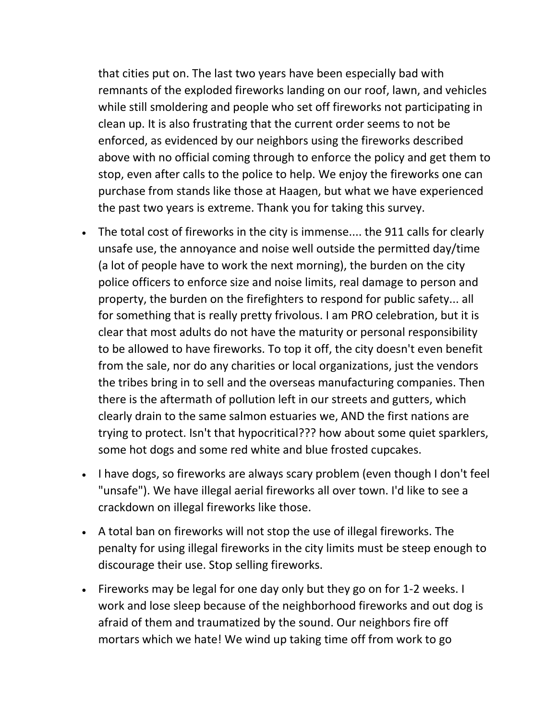that cities put on. The last two years have been especially bad with remnants of the exploded fireworks landing on our roof, lawn, and vehicles while still smoldering and people who set off fireworks not participating in clean up. It is also frustrating that the current order seems to not be enforced, as evidenced by our neighbors using the fireworks described above with no official coming through to enforce the policy and get them to stop, even after calls to the police to help. We enjoy the fireworks one can purchase from stands like those at Haagen, but what we have experienced the past two years is extreme. Thank you for taking this survey.

- The total cost of fireworks in the city is immense.... the 911 calls for clearly unsafe use, the annoyance and noise well outside the permitted day/time (a lot of people have to work the next morning), the burden on the city police officers to enforce size and noise limits, real damage to person and property, the burden on the firefighters to respond for public safety... all for something that is really pretty frivolous. I am PRO celebration, but it is clear that most adults do not have the maturity or personal responsibility to be allowed to have fireworks. To top it off, the city doesn't even benefit from the sale, nor do any charities or local organizations, just the vendors the tribes bring in to sell and the overseas manufacturing companies. Then there is the aftermath of pollution left in our streets and gutters, which clearly drain to the same salmon estuaries we, AND the first nations are trying to protect. Isn't that hypocritical??? how about some quiet sparklers, some hot dogs and some red white and blue frosted cupcakes.
- I have dogs, so fireworks are always scary problem (even though I don't feel "unsafe"). We have illegal aerial fireworks all over town. I'd like to see a crackdown on illegal fireworks like those.
- A total ban on fireworks will not stop the use of illegal fireworks. The penalty for using illegal fireworks in the city limits must be steep enough to discourage their use. Stop selling fireworks.
- Fireworks may be legal for one day only but they go on for 1-2 weeks. I work and lose sleep because of the neighborhood fireworks and out dog is afraid of them and traumatized by the sound. Our neighbors fire off mortars which we hate! We wind up taking time off from work to go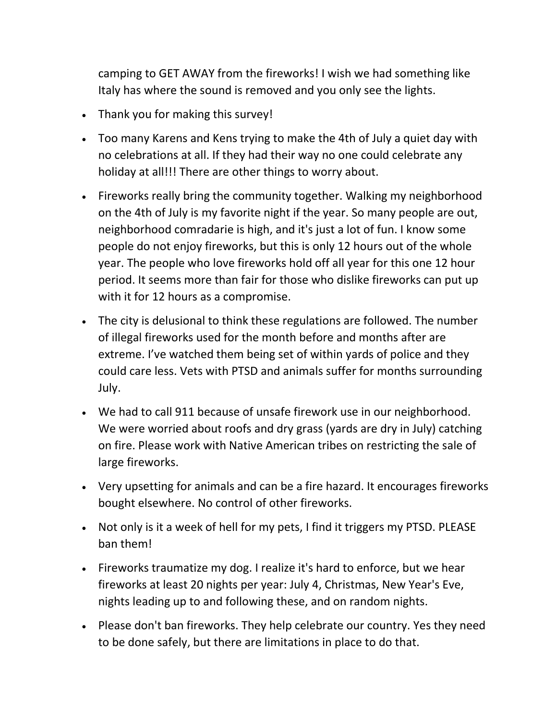camping to GET AWAY from the fireworks! I wish we had something like Italy has where the sound is removed and you only see the lights.

- Thank you for making this survey!
- Too many Karens and Kens trying to make the 4th of July a quiet day with no celebrations at all. If they had their way no one could celebrate any holiday at all!!! There are other things to worry about.
- Fireworks really bring the community together. Walking my neighborhood on the 4th of July is my favorite night if the year. So many people are out, neighborhood comradarie is high, and it's just a lot of fun. I know some people do not enjoy fireworks, but this is only 12 hours out of the whole year. The people who love fireworks hold off all year for this one 12 hour period. It seems more than fair for those who dislike fireworks can put up with it for 12 hours as a compromise.
- The city is delusional to think these regulations are followed. The number of illegal fireworks used for the month before and months after are extreme. I've watched them being set of within yards of police and they could care less. Vets with PTSD and animals suffer for months surrounding July.
- We had to call 911 because of unsafe firework use in our neighborhood. We were worried about roofs and dry grass (yards are dry in July) catching on fire. Please work with Native American tribes on restricting the sale of large fireworks.
- Very upsetting for animals and can be a fire hazard. It encourages fireworks bought elsewhere. No control of other fireworks.
- Not only is it a week of hell for my pets, I find it triggers my PTSD. PLEASE ban them!
- Fireworks traumatize my dog. I realize it's hard to enforce, but we hear fireworks at least 20 nights per year: July 4, Christmas, New Year's Eve, nights leading up to and following these, and on random nights.
- Please don't ban fireworks. They help celebrate our country. Yes they need to be done safely, but there are limitations in place to do that.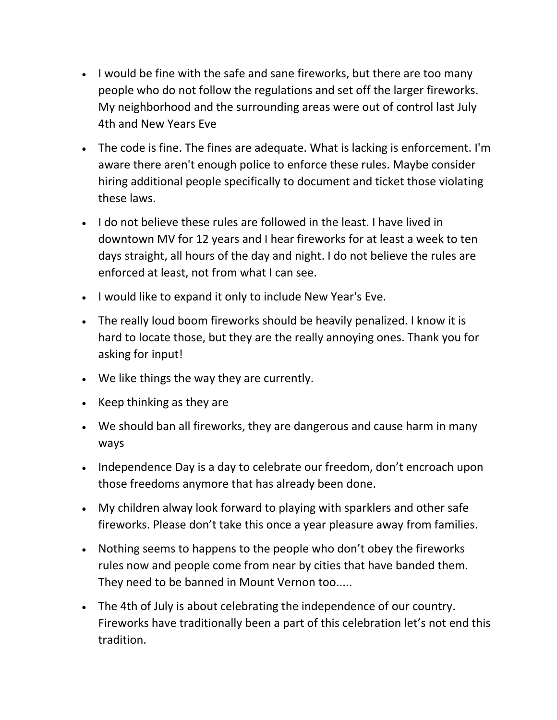- I would be fine with the safe and sane fireworks, but there are too many people who do not follow the regulations and set off the larger fireworks. My neighborhood and the surrounding areas were out of control last July 4th and New Years Eve
- The code is fine. The fines are adequate. What is lacking is enforcement. I'm aware there aren't enough police to enforce these rules. Maybe consider hiring additional people specifically to document and ticket those violating these laws.
- I do not believe these rules are followed in the least. I have lived in downtown MV for 12 years and I hear fireworks for at least a week to ten days straight, all hours of the day and night. I do not believe the rules are enforced at least, not from what I can see.
- I would like to expand it only to include New Year's Eve.
- The really loud boom fireworks should be heavily penalized. I know it is hard to locate those, but they are the really annoying ones. Thank you for asking for input!
- We like things the way they are currently.
- Keep thinking as they are
- We should ban all fireworks, they are dangerous and cause harm in many ways
- Independence Day is a day to celebrate our freedom, don't encroach upon those freedoms anymore that has already been done.
- My children alway look forward to playing with sparklers and other safe fireworks. Please don't take this once a year pleasure away from families.
- Nothing seems to happens to the people who don't obey the fireworks rules now and people come from near by cities that have banded them. They need to be banned in Mount Vernon too.....
- The 4th of July is about celebrating the independence of our country. Fireworks have traditionally been a part of this celebration let's not end this tradition.